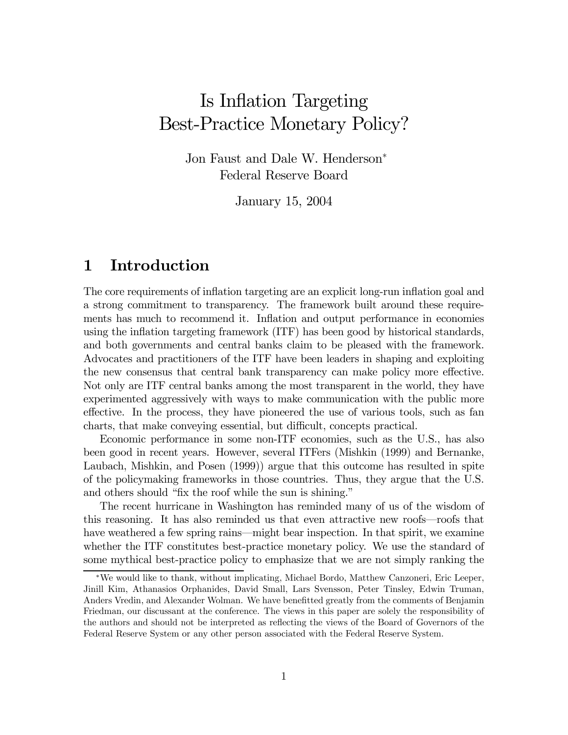# Is Inflation Targeting Best-Practice Monetary Policy?

Jon Faust and Dale W. Henderson<sup>∗</sup> Federal Reserve Board

January 15, 2004

# 1 Introduction

The core requirements of inflation targeting are an explicit long-run inflation goal and a strong commitment to transparency. The framework built around these requirements has much to recommend it. Inflation and output performance in economies using the inflation targeting framework (ITF) has been good by historical standards, and both governments and central banks claim to be pleased with the framework. Advocates and practitioners of the ITF have been leaders in shaping and exploiting the new consensus that central bank transparency can make policy more effective. Not only are ITF central banks among the most transparent in the world, they have experimented aggressively with ways to make communication with the public more effective. In the process, they have pioneered the use of various tools, such as fan charts, that make conveying essential, but difficult, concepts practical.

Economic performance in some non-ITF economies, such as the U.S., has also been good in recent years. However, several ITFers (Mishkin (1999) and Bernanke, Laubach, Mishkin, and Posen (1999)) argue that this outcome has resulted in spite of the policymaking frameworks in those countries. Thus, they argue that the U.S. and others should "fix the roof while the sun is shining."

The recent hurricane in Washington has reminded many of us of the wisdom of this reasoning. It has also reminded us that even attractive new roofs–roofs that have weathered a few spring rains—might bear inspection. In that spirit, we examine whether the ITF constitutes best-practice monetary policy. We use the standard of some mythical best-practice policy to emphasize that we are not simply ranking the

<sup>∗</sup>We would like to thank, without implicating, Michael Bordo, Matthew Canzoneri, Eric Leeper, Jinill Kim, Athanasios Orphanides, David Small, Lars Svensson, Peter Tinsley, Edwin Truman, Anders Vredin, and Alexander Wolman. We have benefitted greatly from the comments of Benjamin Friedman, our discussant at the conference. The views in this paper are solely the responsibility of the authors and should not be interpreted as reflecting the views of the Board of Governors of the Federal Reserve System or any other person associated with the Federal Reserve System.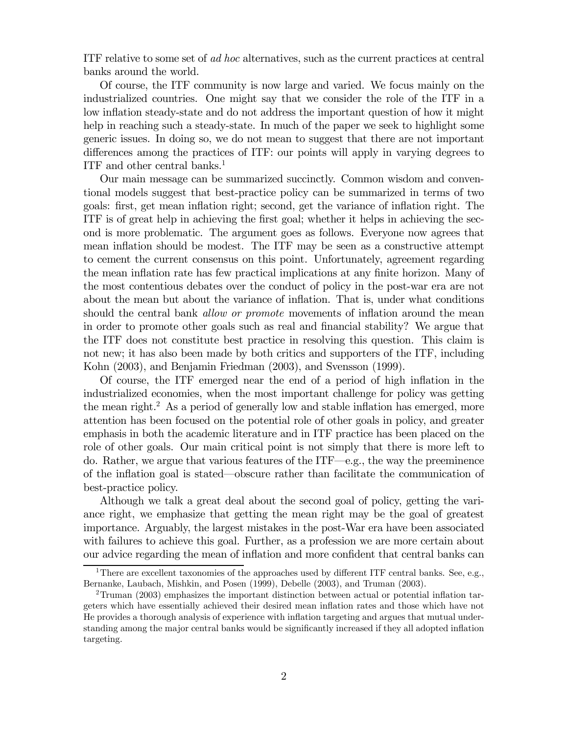ITF relative to some set of *ad hoc* alternatives, such as the current practices at central banks around the world.

Of course, the ITF community is now large and varied. We focus mainly on the industrialized countries. One might say that we consider the role of the ITF in a low inflation steady-state and do not address the important question of how it might help in reaching such a steady-state. In much of the paper we seek to highlight some generic issues. In doing so, we do not mean to suggest that there are not important differences among the practices of ITF: our points will apply in varying degrees to ITF and other central banks.<sup>1</sup>

Our main message can be summarized succinctly. Common wisdom and conventional models suggest that best-practice policy can be summarized in terms of two goals: first, get mean inflation right; second, get the variance of inflation right. The ITF is of great help in achieving the first goal; whether it helps in achieving the second is more problematic. The argument goes as follows. Everyone now agrees that mean inflation should be modest. The ITF may be seen as a constructive attempt to cement the current consensus on this point. Unfortunately, agreement regarding the mean inflation rate has few practical implications at any finite horizon. Many of the most contentious debates over the conduct of policy in the post-war era are not about the mean but about the variance of inflation. That is, under what conditions should the central bank *allow or promote* movements of inflation around the mean in order to promote other goals such as real and financial stability? We argue that the ITF does not constitute best practice in resolving this question. This claim is not new; it has also been made by both critics and supporters of the ITF, including Kohn (2003), and Benjamin Friedman (2003), and Svensson (1999).

Of course, the ITF emerged near the end of a period of high inflation in the industrialized economies, when the most important challenge for policy was getting the mean right.<sup>2</sup> As a period of generally low and stable inflation has emerged, more attention has been focused on the potential role of other goals in policy, and greater emphasis in both the academic literature and in ITF practice has been placed on the role of other goals. Our main critical point is not simply that there is more left to do. Rather, we argue that various features of the  $ITF—e.g.,$  the way the preeminence of the inflation goal is stated–obscure rather than facilitate the communication of best-practice policy.

Although we talk a great deal about the second goal of policy, getting the variance right, we emphasize that getting the mean right may be the goal of greatest importance. Arguably, the largest mistakes in the post-War era have been associated with failures to achieve this goal. Further, as a profession we are more certain about our advice regarding the mean of inflation and more confident that central banks can

<sup>&</sup>lt;sup>1</sup>There are excellent taxonomies of the approaches used by different ITF central banks. See, e.g., Bernanke, Laubach, Mishkin, and Posen (1999), Debelle (2003), and Truman (2003).

<sup>2</sup>Truman (2003) emphasizes the important distinction between actual or potential inflation targeters which have essentially achieved their desired mean inflation rates and those which have not He provides a thorough analysis of experience with inflation targeting and argues that mutual understanding among the major central banks would be significantly increased if they all adopted inflation targeting.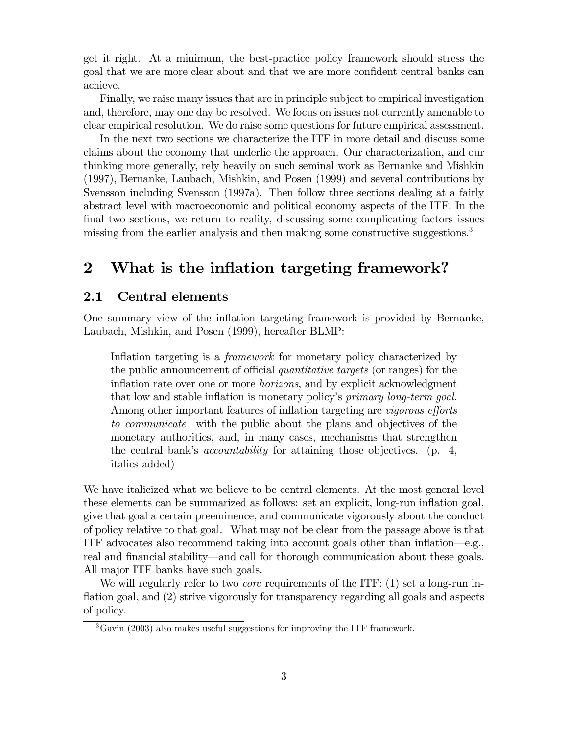get it right. At a minimum, the best-practice policy framework should stress the goal that we are more clear about and that we are more confident central banks can achieve.

Finally, we raise many issues that are in principle subject to empirical investigation and, therefore, may one day be resolved. We focus on issues not currently amenable to clear empirical resolution. We do raise some questions for future empirical assessment.

In the next two sections we characterize the ITF in more detail and discuss some claims about the economy that underlie the approach. Our characterization, and our thinking more generally, rely heavily on such seminal work as Bernanke and Mishkin (1997), Bernanke, Laubach, Mishkin, and Posen (1999) and several contributions by Svensson including Svensson (1997a). Then follow three sections dealing at a fairly abstract level with macroeconomic and political economy aspects of the ITF. In the final two sections, we return to reality, discussing some complicating factors issues missing from the earlier analysis and then making some constructive suggestions.<sup>3</sup>

# 2 What is the inflation targeting framework?

#### 2.1 Central elements

One summary view of the inflation targeting framework is provided by Bernanke, Laubach, Mishkin, and Posen (1999), hereafter BLMP:

Inflation targeting is a framework for monetary policy characterized by the public announcement of official quantitative targets (or ranges) for the inflation rate over one or more horizons, and by explicit acknowledgment that low and stable inflation is monetary policy's primary long-term goal. Among other important features of inflation targeting are *vigorous efforts* to communicate with the public about the plans and objectives of the monetary authorities, and, in many cases, mechanisms that strengthen the central bank's accountability for attaining those objectives. (p. 4, italics added)

We have italicized what we believe to be central elements. At the most general level these elements can be summarized as follows: set an explicit, long-run inflation goal, give that goal a certain preeminence, and communicate vigorously about the conduct of policy relative to that goal. What may not be clear from the passage above is that ITF advocates also recommend taking into account goals other than inflation–e.g., real and financial stability–and call for thorough communication about these goals. All major ITF banks have such goals.

We will regularly refer to two *core* requirements of the ITF:  $(1)$  set a long-run inflation goal, and  $(2)$  strive vigorously for transparency regarding all goals and aspects of policy.

<sup>3</sup>Gavin (2003) also makes useful suggestions for improving the ITF framework.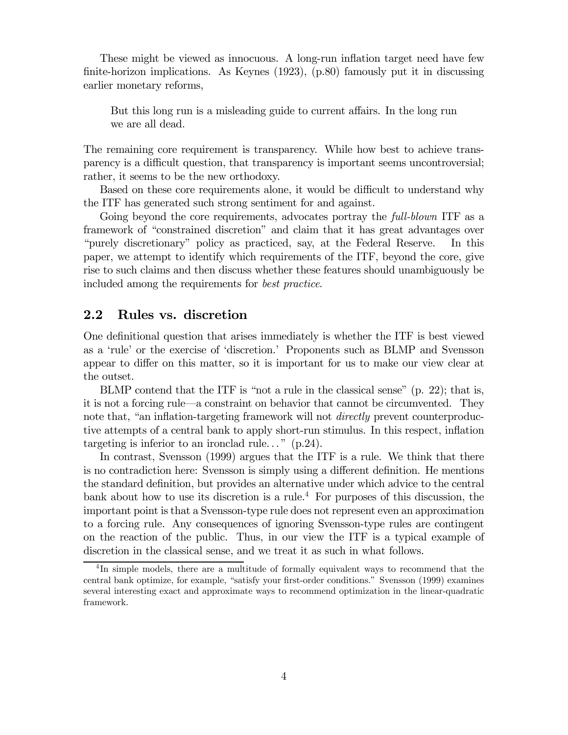These might be viewed as innocuous. A long-run inflation target need have few finite-horizon implications. As Keynes (1923), (p.80) famously put it in discussing earlier monetary reforms,

But this long run is a misleading guide to current affairs. In the long run we are all dead.

The remaining core requirement is transparency. While how best to achieve transparency is a difficult question, that transparency is important seems uncontroversial; rather, it seems to be the new orthodoxy.

Based on these core requirements alone, it would be difficult to understand why the ITF has generated such strong sentiment for and against.

Going beyond the core requirements, advocates portray the *full-blown* ITF as a framework of "constrained discretion" and claim that it has great advantages over "purely discretionary" policy as practiced, say, at the Federal Reserve. In this paper, we attempt to identify which requirements of the ITF, beyond the core, give rise to such claims and then discuss whether these features should unambiguously be included among the requirements for best practice.

## 2.2 Rules vs. discretion

One definitional question that arises immediately is whether the ITF is best viewed as a 'rule' or the exercise of 'discretion.' Proponents such as BLMP and Svensson appear to differ on this matter, so it is important for us to make our view clear at the outset.

BLMP contend that the ITF is "not a rule in the classical sense" (p. 22); that is, it is not a forcing rule–a constraint on behavior that cannot be circumvented. They note that, "an inflation-targeting framework will not *directly* prevent counterproductive attempts of a central bank to apply short-run stimulus. In this respect, inflation targeting is inferior to an ironclad rule..."  $(p.24)$ .

In contrast, Svensson (1999) argues that the ITF is a rule. We think that there is no contradiction here: Svensson is simply using a different definition. He mentions the standard definition, but provides an alternative under which advice to the central bank about how to use its discretion is a rule.<sup>4</sup> For purposes of this discussion, the important point is that a Svensson-type rule does not represent even an approximation to a forcing rule. Any consequences of ignoring Svensson-type rules are contingent on the reaction of the public. Thus, in our view the ITF is a typical example of discretion in the classical sense, and we treat it as such in what follows.

<sup>4</sup> In simple models, there are a multitude of formally equivalent ways to recommend that the central bank optimize, for example, "satisfy your first-order conditions." Svensson (1999) examines several interesting exact and approximate ways to recommend optimization in the linear-quadratic framework.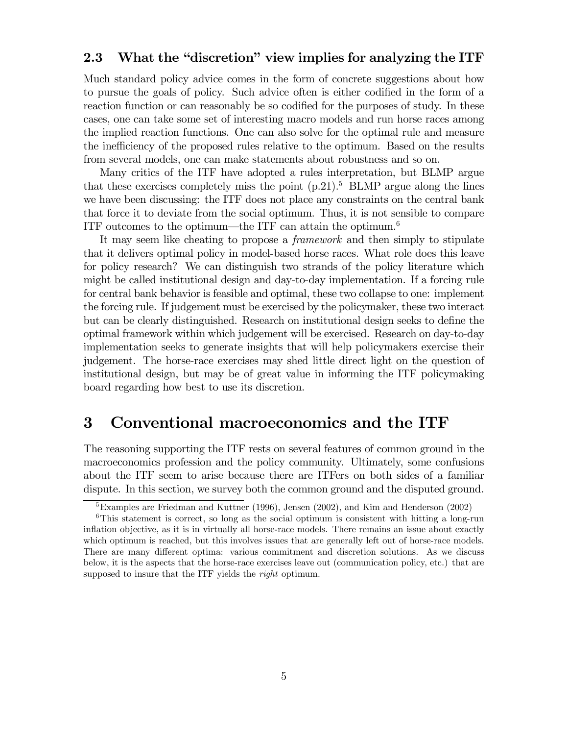## 2.3 What the "discretion" view implies for analyzing the ITF

Much standard policy advice comes in the form of concrete suggestions about how to pursue the goals of policy. Such advice often is either codified in the form of a reaction function or can reasonably be so codified for the purposes of study. In these cases, one can take some set of interesting macro models and run horse races among the implied reaction functions. One can also solve for the optimal rule and measure the inefficiency of the proposed rules relative to the optimum. Based on the results from several models, one can make statements about robustness and so on.

Many critics of the ITF have adopted a rules interpretation, but BLMP argue that these exercises completely miss the point  $(p.21)$ .<sup>5</sup> BLMP argue along the lines we have been discussing: the ITF does not place any constraints on the central bank that force it to deviate from the social optimum. Thus, it is not sensible to compare ITF outcomes to the optimum—the ITF can attain the optimum.<sup>6</sup>

It may seem like cheating to propose a framework and then simply to stipulate that it delivers optimal policy in model-based horse races. What role does this leave for policy research? We can distinguish two strands of the policy literature which might be called institutional design and day-to-day implementation. If a forcing rule for central bank behavior is feasible and optimal, these two collapse to one: implement the forcing rule. If judgement must be exercised by the policymaker, these two interact but can be clearly distinguished. Research on institutional design seeks to define the optimal framework within which judgement will be exercised. Research on day-to-day implementation seeks to generate insights that will help policymakers exercise their judgement. The horse-race exercises may shed little direct light on the question of institutional design, but may be of great value in informing the ITF policymaking board regarding how best to use its discretion.

## 3 Conventional macroeconomics and the ITF

The reasoning supporting the ITF rests on several features of common ground in the macroeconomics profession and the policy community. Ultimately, some confusions about the ITF seem to arise because there are ITFers on both sides of a familiar dispute. In this section, we survey both the common ground and the disputed ground.

<sup>&</sup>lt;sup>5</sup>Examples are Friedman and Kuttner (1996), Jensen (2002), and Kim and Henderson (2002)

<sup>&</sup>lt;sup>6</sup>This statement is correct, so long as the social optimum is consistent with hitting a long-run inflation objective, as it is in virtually all horse-race models. There remains an issue about exactly which optimum is reached, but this involves issues that are generally left out of horse-race models. There are many different optima: various commitment and discretion solutions. As we discuss below, it is the aspects that the horse-race exercises leave out (communication policy, etc.) that are supposed to insure that the ITF yields the *right* optimum.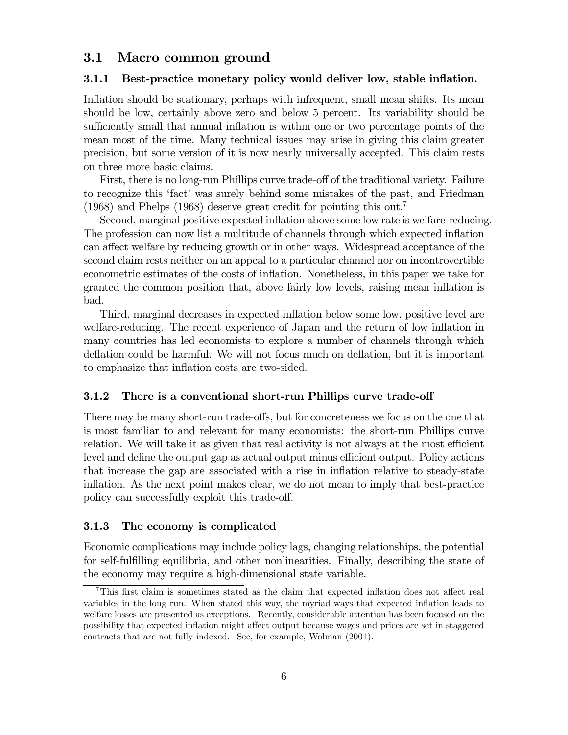## 3.1 Macro common ground

#### 3.1.1 Best-practice monetary policy would deliver low, stable inflation.

Inflation should be stationary, perhaps with infrequent, small mean shifts. Its mean should be low, certainly above zero and below 5 percent. Its variability should be sufficiently small that annual inflation is within one or two percentage points of the mean most of the time. Many technical issues may arise in giving this claim greater precision, but some version of it is now nearly universally accepted. This claim rests on three more basic claims.

First, there is no long-run Phillips curve trade-off of the traditional variety. Failure to recognize this 'fact' was surely behind some mistakes of the past, and Friedman (1968) and Phelps (1968) deserve great credit for pointing this out.7

Second, marginal positive expected inflation above some low rate is welfare-reducing. The profession can now list a multitude of channels through which expected inflation can affect welfare by reducing growth or in other ways. Widespread acceptance of the second claim rests neither on an appeal to a particular channel nor on incontrovertible econometric estimates of the costs of inflation. Nonetheless, in this paper we take for granted the common position that, above fairly low levels, raising mean inflation is bad.

Third, marginal decreases in expected inflation below some low, positive level are welfare-reducing. The recent experience of Japan and the return of low inflation in many countries has led economists to explore a number of channels through which deflation could be harmful. We will not focus much on deflation, but it is important to emphasize that inflation costs are two-sided.

#### 3.1.2 There is a conventional short-run Phillips curve trade-off

There may be many short-run trade-offs, but for concreteness we focus on the one that is most familiar to and relevant for many economists: the short-run Phillips curve relation. We will take it as given that real activity is not always at the most efficient level and define the output gap as actual output minus efficient output. Policy actions that increase the gap are associated with a rise in inflation relative to steady-state inflation. As the next point makes clear, we do not mean to imply that best-practice policy can successfully exploit this trade-off.

#### 3.1.3 The economy is complicated

Economic complications may include policy lags, changing relationships, the potential for self-fulfilling equilibria, and other nonlinearities. Finally, describing the state of the economy may require a high-dimensional state variable.

<sup>7</sup>This first claim is sometimes stated as the claim that expected inflation does not affect real variables in the long run. When stated this way, the myriad ways that expected inflation leads to welfare losses are presented as exceptions. Recently, considerable attention has been focused on the possibility that expected inflation might affect output because wages and prices are set in staggered contracts that are not fully indexed. See, for example, Wolman (2001).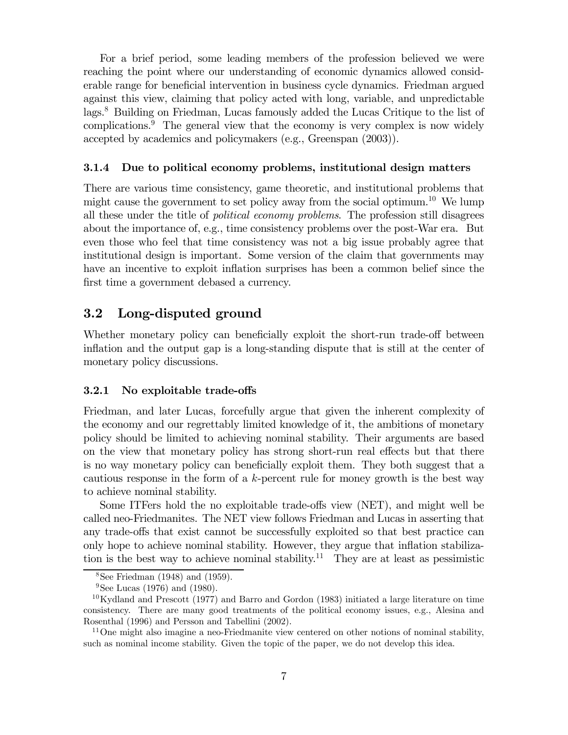For a brief period, some leading members of the profession believed we were reaching the point where our understanding of economic dynamics allowed considerable range for beneficial intervention in business cycle dynamics. Friedman argued against this view, claiming that policy acted with long, variable, and unpredictable lags.8 Building on Friedman, Lucas famously added the Lucas Critique to the list of complications.9 The general view that the economy is very complex is now widely accepted by academics and policymakers (e.g., Greenspan (2003)).

#### 3.1.4 Due to political economy problems, institutional design matters

There are various time consistency, game theoretic, and institutional problems that might cause the government to set policy away from the social optimum.<sup>10</sup> We lump all these under the title of political economy problems. The profession still disagrees about the importance of, e.g., time consistency problems over the post-War era. But even those who feel that time consistency was not a big issue probably agree that institutional design is important. Some version of the claim that governments may have an incentive to exploit inflation surprises has been a common belief since the first time a government debased a currency.

## 3.2 Long-disputed ground

Whether monetary policy can beneficially exploit the short-run trade-off between inflation and the output gap is a long-standing dispute that is still at the center of monetary policy discussions.

#### 3.2.1 No exploitable trade-offs

Friedman, and later Lucas, forcefully argue that given the inherent complexity of the economy and our regrettably limited knowledge of it, the ambitions of monetary policy should be limited to achieving nominal stability. Their arguments are based on the view that monetary policy has strong short-run real effects but that there is no way monetary policy can beneficially exploit them. They both suggest that a cautious response in the form of a k-percent rule for money growth is the best way to achieve nominal stability.

Some ITFers hold the no exploitable trade-offs view (NET), and might well be called neo-Friedmanites. The NET view follows Friedman and Lucas in asserting that any trade-offs that exist cannot be successfully exploited so that best practice can only hope to achieve nominal stability. However, they argue that inflation stabilization is the best way to achieve nominal stability.<sup>11</sup> They are at least as pessimistic

 $8$ See Friedman (1948) and (1959).

 $^{9}$ See Lucas (1976) and (1980).

 $10$ Kydland and Prescott (1977) and Barro and Gordon (1983) initiated a large literature on time consistency. There are many good treatments of the political economy issues, e.g., Alesina and Rosenthal (1996) and Persson and Tabellini (2002).

 $11$ One might also imagine a neo-Friedmanite view centered on other notions of nominal stability, such as nominal income stability. Given the topic of the paper, we do not develop this idea.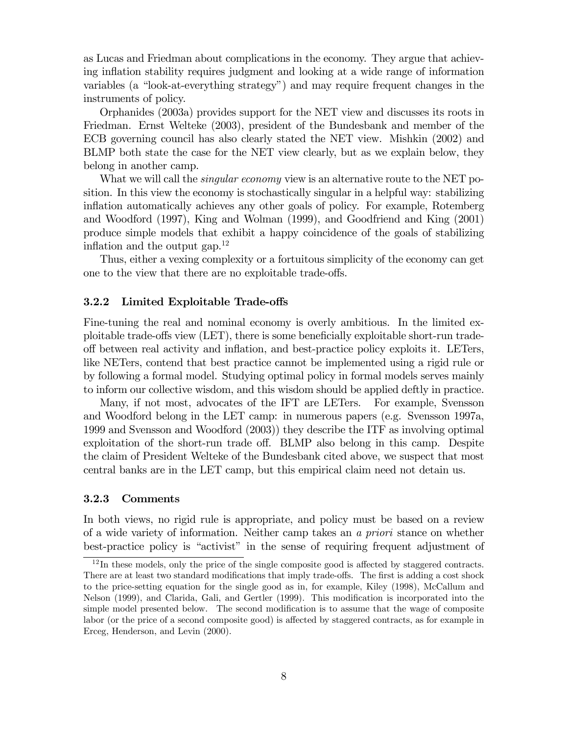as Lucas and Friedman about complications in the economy. They argue that achieving inflation stability requires judgment and looking at a wide range of information variables (a "look-at-everything strategy") and may require frequent changes in the instruments of policy.

Orphanides (2003a) provides support for the NET view and discusses its roots in Friedman. Ernst Welteke (2003), president of the Bundesbank and member of the ECB governing council has also clearly stated the NET view. Mishkin (2002) and BLMP both state the case for the NET view clearly, but as we explain below, they belong in another camp.

What we will call the *singular economy* view is an alternative route to the NET position. In this view the economy is stochastically singular in a helpful way: stabilizing inflation automatically achieves any other goals of policy. For example, Rotemberg and Woodford (1997), King and Wolman (1999), and Goodfriend and King (2001) produce simple models that exhibit a happy coincidence of the goals of stabilizing inflation and the output gap. $12$ 

Thus, either a vexing complexity or a fortuitous simplicity of the economy can get one to the view that there are no exploitable trade-offs.

#### 3.2.2 Limited Exploitable Trade-offs

Fine-tuning the real and nominal economy is overly ambitious. In the limited exploitable trade-offs view (LET), there is some beneficially exploitable short-run tradeoff between real activity and inflation, and best-practice policy exploits it. LETers, like NETers, contend that best practice cannot be implemented using a rigid rule or by following a formal model. Studying optimal policy in formal models serves mainly to inform our collective wisdom, and this wisdom should be applied deftly in practice.

Many, if not most, advocates of the IFT are LETers. For example, Svensson and Woodford belong in the LET camp: in numerous papers (e.g. Svensson 1997a, 1999 and Svensson and Woodford (2003)) they describe the ITF as involving optimal exploitation of the short-run trade off. BLMP also belong in this camp. Despite the claim of President Welteke of the Bundesbank cited above, we suspect that most central banks are in the LET camp, but this empirical claim need not detain us.

#### 3.2.3 Comments

In both views, no rigid rule is appropriate, and policy must be based on a review of a wide variety of information. Neither camp takes an a priori stance on whether best-practice policy is "activist" in the sense of requiring frequent adjustment of

 $12$ In these models, only the price of the single composite good is affected by staggered contracts. There are at least two standard modifications that imply trade-offs. The first is adding a cost shock to the price-setting equation for the single good as in, for example, Kiley (1998), McCallum and Nelson (1999), and Clarida, Gali, and Gertler (1999). This modification is incorporated into the simple model presented below. The second modification is to assume that the wage of composite labor (or the price of a second composite good) is affected by staggered contracts, as for example in Erceg, Henderson, and Levin (2000).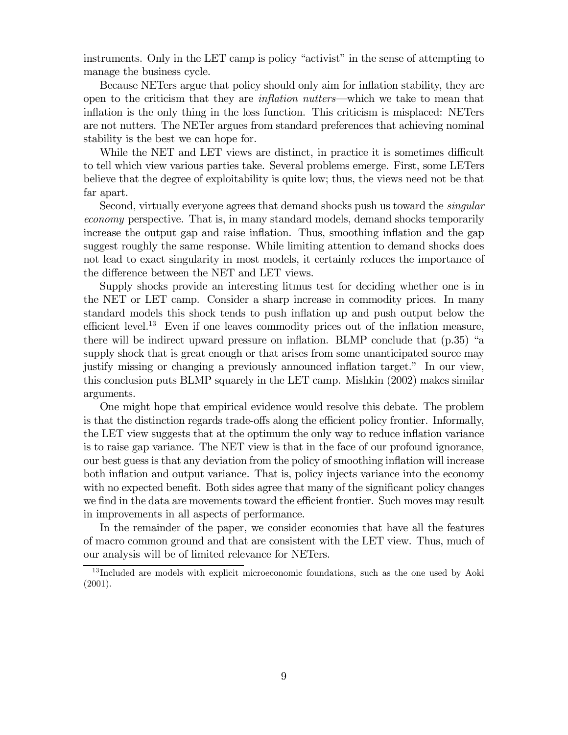instruments. Only in the LET camp is policy "activist" in the sense of attempting to manage the business cycle.

Because NETers argue that policy should only aim for inflation stability, they are open to the criticism that they are inflation nutters–which we take to mean that inflation is the only thing in the loss function. This criticism is misplaced: NETers are not nutters. The NETer argues from standard preferences that achieving nominal stability is the best we can hope for.

While the NET and LET views are distinct, in practice it is sometimes difficult to tell which view various parties take. Several problems emerge. First, some LETers believe that the degree of exploitability is quite low; thus, the views need not be that far apart.

Second, virtually everyone agrees that demand shocks push us toward the *singular* economy perspective. That is, in many standard models, demand shocks temporarily increase the output gap and raise inflation. Thus, smoothing inflation and the gap suggest roughly the same response. While limiting attention to demand shocks does not lead to exact singularity in most models, it certainly reduces the importance of the difference between the NET and LET views.

Supply shocks provide an interesting litmus test for deciding whether one is in the NET or LET camp. Consider a sharp increase in commodity prices. In many standard models this shock tends to push inflation up and push output below the efficient level.<sup>13</sup> Even if one leaves commodity prices out of the inflation measure, there will be indirect upward pressure on inflation. BLMP conclude that (p.35) "a supply shock that is great enough or that arises from some unanticipated source may justify missing or changing a previously announced inflation target." In our view, this conclusion puts BLMP squarely in the LET camp. Mishkin (2002) makes similar arguments.

One might hope that empirical evidence would resolve this debate. The problem is that the distinction regards trade-offs along the efficient policy frontier. Informally, the LET view suggests that at the optimum the only way to reduce inflation variance is to raise gap variance. The NET view is that in the face of our profound ignorance, our best guess is that any deviation from the policy of smoothing inflation will increase both inflation and output variance. That is, policy injects variance into the economy with no expected benefit. Both sides agree that many of the significant policy changes we find in the data are movements toward the efficient frontier. Such moves may result in improvements in all aspects of performance.

In the remainder of the paper, we consider economies that have all the features of macro common ground and that are consistent with the LET view. Thus, much of our analysis will be of limited relevance for NETers.

<sup>&</sup>lt;sup>13</sup> Included are models with explicit microeconomic foundations, such as the one used by Aoki (2001).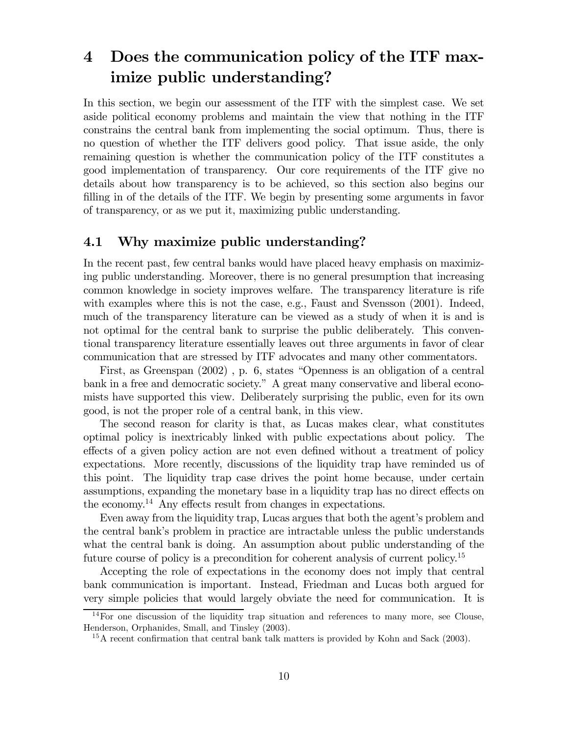# 4 Does the communication policy of the ITF maximize public understanding?

In this section, we begin our assessment of the ITF with the simplest case. We set aside political economy problems and maintain the view that nothing in the ITF constrains the central bank from implementing the social optimum. Thus, there is no question of whether the ITF delivers good policy. That issue aside, the only remaining question is whether the communication policy of the ITF constitutes a good implementation of transparency. Our core requirements of the ITF give no details about how transparency is to be achieved, so this section also begins our filling in of the details of the ITF. We begin by presenting some arguments in favor of transparency, or as we put it, maximizing public understanding.

## 4.1 Why maximize public understanding?

In the recent past, few central banks would have placed heavy emphasis on maximizing public understanding. Moreover, there is no general presumption that increasing common knowledge in society improves welfare. The transparency literature is rife with examples where this is not the case, e.g., Faust and Svensson  $(2001)$ . Indeed, much of the transparency literature can be viewed as a study of when it is and is not optimal for the central bank to surprise the public deliberately. This conventional transparency literature essentially leaves out three arguments in favor of clear communication that are stressed by ITF advocates and many other commentators.

First, as Greenspan (2002) , p. 6, states "Openness is an obligation of a central bank in a free and democratic society." A great many conservative and liberal economists have supported this view. Deliberately surprising the public, even for its own good, is not the proper role of a central bank, in this view.

The second reason for clarity is that, as Lucas makes clear, what constitutes optimal policy is inextricably linked with public expectations about policy. The effects of a given policy action are not even defined without a treatment of policy expectations. More recently, discussions of the liquidity trap have reminded us of this point. The liquidity trap case drives the point home because, under certain assumptions, expanding the monetary base in a liquidity trap has no direct effects on the economy.14 Any effects result from changes in expectations.

Even away from the liquidity trap, Lucas argues that both the agent's problem and the central bank's problem in practice are intractable unless the public understands what the central bank is doing. An assumption about public understanding of the future course of policy is a precondition for coherent analysis of current policy.<sup>15</sup>

Accepting the role of expectations in the economy does not imply that central bank communication is important. Instead, Friedman and Lucas both argued for very simple policies that would largely obviate the need for communication. It is

<sup>14</sup>For one discussion of the liquidity trap situation and references to many more, see Clouse, Henderson, Orphanides, Small, and Tinsley (2003).

<sup>&</sup>lt;sup>15</sup>A recent confirmation that central bank talk matters is provided by Kohn and Sack (2003).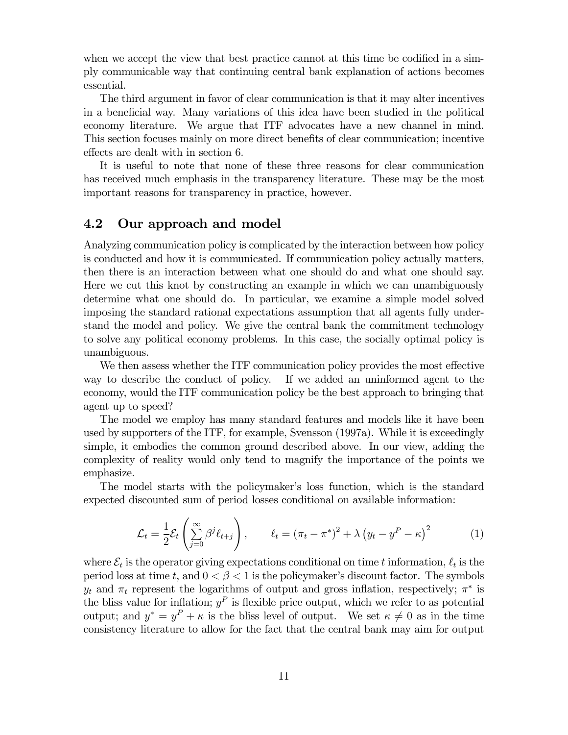when we accept the view that best practice cannot at this time be codified in a simply communicable way that continuing central bank explanation of actions becomes essential.

The third argument in favor of clear communication is that it may alter incentives in a beneficial way. Many variations of this idea have been studied in the political economy literature. We argue that ITF advocates have a new channel in mind. This section focuses mainly on more direct benefits of clear communication; incentive effects are dealt with in section 6.

It is useful to note that none of these three reasons for clear communication has received much emphasis in the transparency literature. These may be the most important reasons for transparency in practice, however.

## 4.2 Our approach and model

Analyzing communication policy is complicated by the interaction between how policy is conducted and how it is communicated. If communication policy actually matters, then there is an interaction between what one should do and what one should say. Here we cut this knot by constructing an example in which we can unambiguously determine what one should do. In particular, we examine a simple model solved imposing the standard rational expectations assumption that all agents fully understand the model and policy. We give the central bank the commitment technology to solve any political economy problems. In this case, the socially optimal policy is unambiguous.

We then assess whether the ITF communication policy provides the most effective way to describe the conduct of policy. If we added an uninformed agent to the economy, would the ITF communication policy be the best approach to bringing that agent up to speed?

The model we employ has many standard features and models like it have been used by supporters of the ITF, for example, Svensson (1997a). While it is exceedingly simple, it embodies the common ground described above. In our view, adding the complexity of reality would only tend to magnify the importance of the points we emphasize.

The model starts with the policymaker's loss function, which is the standard expected discounted sum of period losses conditional on available information:

$$
\mathcal{L}_t = \frac{1}{2} \mathcal{E}_t \left( \sum_{j=0}^{\infty} \beta^j \ell_{t+j} \right), \qquad \ell_t = (\pi_t - \pi^*)^2 + \lambda \left( y_t - y^P - \kappa \right)^2 \tag{1}
$$

where  $\mathcal{E}_t$  is the operator giving expectations conditional on time t information,  $\ell_t$  is the period loss at time t, and  $0 < \beta < 1$  is the policymaker's discount factor. The symbols  $y_t$  and  $\pi_t$  represent the logarithms of output and gross inflation, respectively;  $\pi^*$  is the bliss value for inflation;  $y^P$  is flexible price output, which we refer to as potential output; and  $y^* = y^P + \kappa$  is the bliss level of output. We set  $\kappa \neq 0$  as in the time consistency literature to allow for the fact that the central bank may aim for output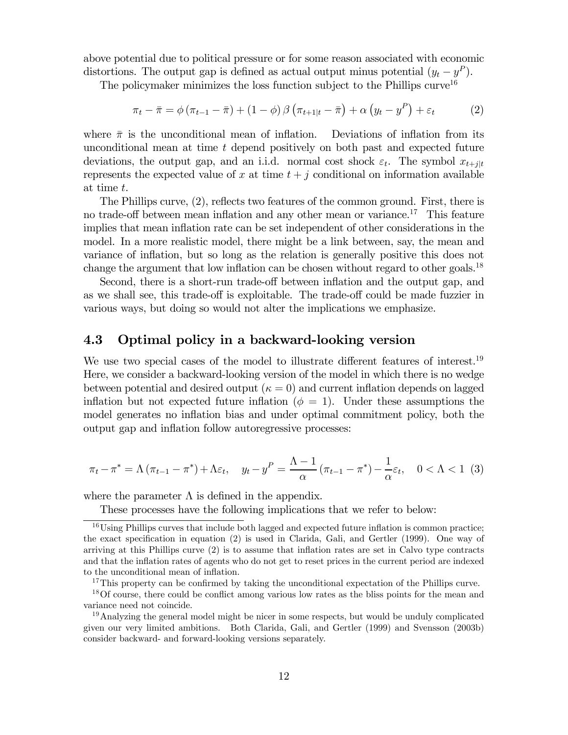above potential due to political pressure or for some reason associated with economic distortions. The output gap is defined as actual output minus potential  $(y_t - y^P)$ .

The policymaker minimizes the loss function subject to the Phillips  $curve<sup>16</sup>$ 

$$
\pi_t - \bar{\pi} = \phi \left( \pi_{t-1} - \bar{\pi} \right) + (1 - \phi) \beta \left( \pi_{t+1|t} - \bar{\pi} \right) + \alpha \left( y_t - y^P \right) + \varepsilon_t \tag{2}
$$

where  $\bar{\pi}$  is the unconditional mean of inflation. Deviations of inflation from its unconditional mean at time  $t$  depend positively on both past and expected future deviations, the output gap, and an i.i.d. normal cost shock  $\varepsilon_t$ . The symbol  $x_{t+j|t}$ represents the expected value of x at time  $t + j$  conditional on information available at time t.

The Phillips curve, (2), reflects two features of the common ground. First, there is no trade-off between mean inflation and any other mean or variance.<sup>17</sup> This feature implies that mean inflation rate can be set independent of other considerations in the model. In a more realistic model, there might be a link between, say, the mean and variance of inflation, but so long as the relation is generally positive this does not change the argument that low inflation can be chosen without regard to other goals.<sup>18</sup>

Second, there is a short-run trade-off between inflation and the output gap, and as we shall see, this trade-off is exploitable. The trade-off could be made fuzzier in various ways, but doing so would not alter the implications we emphasize.

## 4.3 Optimal policy in a backward-looking version

We use two special cases of the model to illustrate different features of interest.<sup>19</sup> Here, we consider a backward-looking version of the model in which there is no wedge between potential and desired output  $(\kappa = 0)$  and current inflation depends on lagged inflation but not expected future inflation ( $\phi = 1$ ). Under these assumptions the model generates no inflation bias and under optimal commitment policy, both the output gap and inflation follow autoregressive processes:

$$
\pi_t - \pi^* = \Lambda \left( \pi_{t-1} - \pi^* \right) + \Lambda \varepsilon_t, \quad y_t - y^P = \frac{\Lambda - 1}{\alpha} \left( \pi_{t-1} - \pi^* \right) - \frac{1}{\alpha} \varepsilon_t, \quad 0 < \Lambda < 1 \tag{3}
$$

where the parameter  $\Lambda$  is defined in the appendix.

These processes have the following implications that we refer to below:

<sup>&</sup>lt;sup>16</sup>Using Phillips curves that include both lagged and expected future inflation is common practice; the exact specification in equation (2) is used in Clarida, Gali, and Gertler (1999). One way of arriving at this Phillips curve (2) is to assume that inflation rates are set in Calvo type contracts and that the inflation rates of agents who do not get to reset prices in the current period are indexed to the unconditional mean of inflation.

<sup>&</sup>lt;sup>17</sup>This property can be confirmed by taking the unconditional expectation of the Phillips curve.

<sup>18</sup>Of course, there could be conflict among various low rates as the bliss points for the mean and variance need not coincide.

<sup>&</sup>lt;sup>19</sup>Analyzing the general model might be nicer in some respects, but would be unduly complicated given our very limited ambitions. Both Clarida, Gali, and Gertler (1999) and Svensson (2003b) consider backward- and forward-looking versions separately.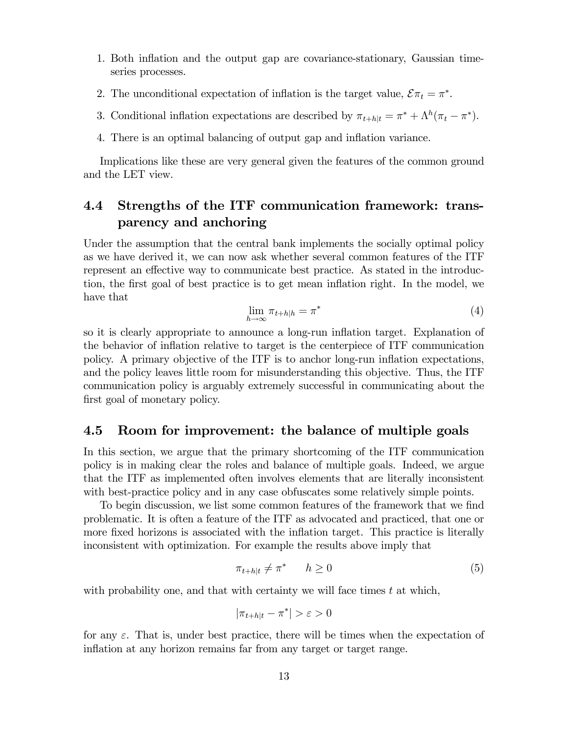- 1. Both inflation and the output gap are covariance-stationary, Gaussian timeseries processes.
- 2. The unconditional expectation of inflation is the target value,  $\mathcal{E}\pi_t = \pi^*$ .
- 3. Conditional inflation expectations are described by  $\pi_{t+h|t} = \pi^* + \Lambda^h(\pi_t \pi^*)$ .
- 4. There is an optimal balancing of output gap and inflation variance.

Implications like these are very general given the features of the common ground and the LET view.

## 4.4 Strengths of the ITF communication framework: transparency and anchoring

Under the assumption that the central bank implements the socially optimal policy as we have derived it, we can now ask whether several common features of the ITF represent an effective way to communicate best practice. As stated in the introduction, the first goal of best practice is to get mean inflation right. In the model, we have that

$$
\lim_{h \to \infty} \pi_{t+h|h} = \pi^*
$$
\n(4)

so it is clearly appropriate to announce a long-run inflation target. Explanation of the behavior of inflation relative to target is the centerpiece of ITF communication policy. A primary objective of the ITF is to anchor long-run inflation expectations, and the policy leaves little room for misunderstanding this objective. Thus, the ITF communication policy is arguably extremely successful in communicating about the first goal of monetary policy.

#### 4.5 Room for improvement: the balance of multiple goals

In this section, we argue that the primary shortcoming of the ITF communication policy is in making clear the roles and balance of multiple goals. Indeed, we argue that the ITF as implemented often involves elements that are literally inconsistent with best-practice policy and in any case obfuscates some relatively simple points.

To begin discussion, we list some common features of the framework that we find problematic. It is often a feature of the ITF as advocated and practiced, that one or more fixed horizons is associated with the inflation target. This practice is literally inconsistent with optimization. For example the results above imply that

$$
\pi_{t+h|t} \neq \pi^* \qquad h \ge 0 \tag{5}
$$

with probability one, and that with certainty we will face times  $t$  at which,

$$
|\pi_{t+h|t} - \pi^*| > \varepsilon > 0
$$

for any  $\varepsilon$ . That is, under best practice, there will be times when the expectation of inflation at any horizon remains far from any target or target range.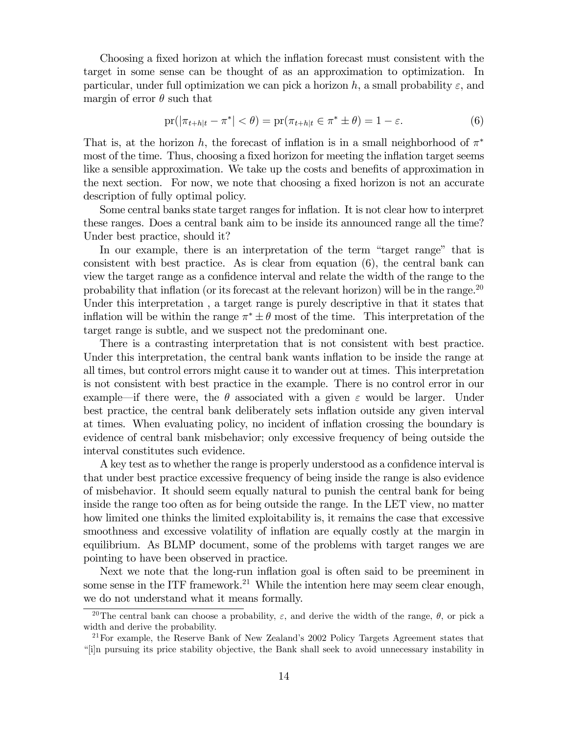Choosing a fixed horizon at which the inflation forecast must consistent with the target in some sense can be thought of as an approximation to optimization. In particular, under full optimization we can pick a horizon h, a small probability  $\varepsilon$ , and margin of error  $\theta$  such that

$$
\text{pr}(|\pi_{t+h|t} - \pi^*| < \theta) = \text{pr}(\pi_{t+h|t} \in \pi^* \pm \theta) = 1 - \varepsilon. \tag{6}
$$

That is, at the horizon h, the forecast of inflation is in a small neighborhood of  $\pi^*$ most of the time. Thus, choosing a fixed horizon for meeting the inflation target seems like a sensible approximation. We take up the costs and benefits of approximation in the next section. For now, we note that choosing a fixed horizon is not an accurate description of fully optimal policy.

Some central banks state target ranges for inflation. It is not clear how to interpret these ranges. Does a central bank aim to be inside its announced range all the time? Under best practice, should it?

In our example, there is an interpretation of the term "target range" that is consistent with best practice. As is clear from equation (6), the central bank can view the target range as a confidence interval and relate the width of the range to the probability that inflation (or its forecast at the relevant horizon) will be in the range.<sup>20</sup> Under this interpretation, a target range is purely descriptive in that it states that inflation will be within the range  $\pi^* \pm \theta$  most of the time. This interpretation of the target range is subtle, and we suspect not the predominant one.

There is a contrasting interpretation that is not consistent with best practice. Under this interpretation, the central bank wants inflation to be inside the range at all times, but control errors might cause it to wander out at times. This interpretation is not consistent with best practice in the example. There is no control error in our example—if there were, the  $\theta$  associated with a given  $\varepsilon$  would be larger. Under best practice, the central bank deliberately sets inflation outside any given interval at times. When evaluating policy, no incident of inflation crossing the boundary is evidence of central bank misbehavior; only excessive frequency of being outside the interval constitutes such evidence.

A key test as to whether the range is properly understood as a confidence interval is that under best practice excessive frequency of being inside the range is also evidence of misbehavior. It should seem equally natural to punish the central bank for being inside the range too often as for being outside the range. In the LET view, no matter how limited one thinks the limited exploitability is, it remains the case that excessive smoothness and excessive volatility of inflation are equally costly at the margin in equilibrium. As BLMP document, some of the problems with target ranges we are pointing to have been observed in practice.

Next we note that the long-run inflation goal is often said to be preeminent in some sense in the ITF framework.<sup>21</sup> While the intention here may seem clear enough, we do not understand what it means formally.

<sup>&</sup>lt;sup>20</sup>The central bank can choose a probability,  $\varepsilon$ , and derive the width of the range,  $\theta$ , or pick a width and derive the probability.

<sup>21</sup>For example, the Reserve Bank of New Zealand's 2002 Policy Targets Agreement states that "[i]n pursuing its price stability objective, the Bank shall seek to avoid unnecessary instability in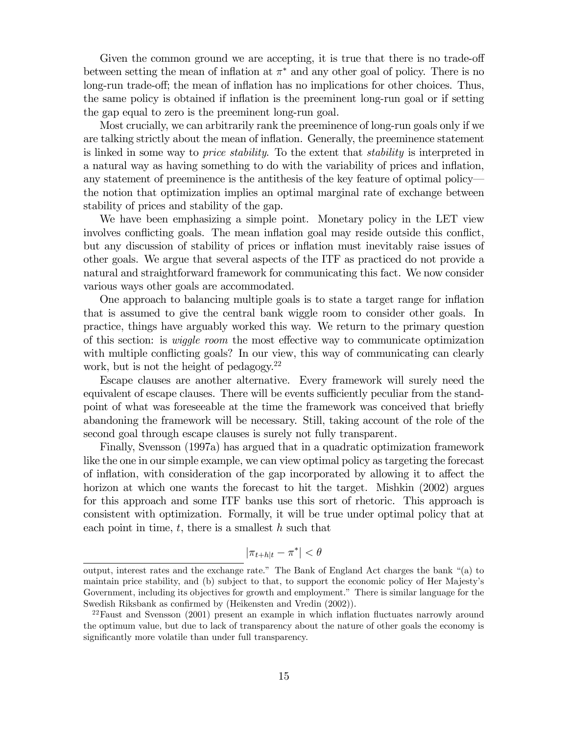Given the common ground we are accepting, it is true that there is no trade-off between setting the mean of inflation at  $\pi^*$  and any other goal of policy. There is no long-run trade-off; the mean of inflation has no implications for other choices. Thus, the same policy is obtained if inflation is the preeminent long-run goal or if setting the gap equal to zero is the preeminent long-run goal.

Most crucially, we can arbitrarily rank the preeminence of long-run goals only if we are talking strictly about the mean of inflation. Generally, the preeminence statement is linked in some way to *price stability*. To the extent that *stability* is interpreted in a natural way as having something to do with the variability of prices and inflation, any statement of preeminence is the antithesis of the key feature of optimal policy– the notion that optimization implies an optimal marginal rate of exchange between stability of prices and stability of the gap.

We have been emphasizing a simple point. Monetary policy in the LET view involves conflicting goals. The mean inflation goal may reside outside this conflict, but any discussion of stability of prices or inflation must inevitably raise issues of other goals. We argue that several aspects of the ITF as practiced do not provide a natural and straightforward framework for communicating this fact. We now consider various ways other goals are accommodated.

One approach to balancing multiple goals is to state a target range for inflation that is assumed to give the central bank wiggle room to consider other goals. In practice, things have arguably worked this way. We return to the primary question of this section: is wiggle room the most effective way to communicate optimization with multiple conflicting goals? In our view, this way of communicating can clearly work, but is not the height of pedagogy.22

Escape clauses are another alternative. Every framework will surely need the equivalent of escape clauses. There will be events sufficiently peculiar from the standpoint of what was foreseeable at the time the framework was conceived that briefly abandoning the framework will be necessary. Still, taking account of the role of the second goal through escape clauses is surely not fully transparent.

Finally, Svensson (1997a) has argued that in a quadratic optimization framework like the one in our simple example, we can view optimal policy as targeting the forecast of inflation, with consideration of the gap incorporated by allowing it to affect the horizon at which one wants the forecast to hit the target. Mishkin (2002) argues for this approach and some ITF banks use this sort of rhetoric. This approach is consistent with optimization. Formally, it will be true under optimal policy that at each point in time,  $t$ , there is a smallest  $h$  such that

$$
|\pi_{t+h|t} - \pi^*| < \theta
$$

output, interest rates and the exchange rate." The Bank of England Act charges the bank "(a) to maintain price stability, and (b) subject to that, to support the economic policy of Her Majesty's Government, including its objectives for growth and employment." There is similar language for the Swedish Riksbank as confirmed by (Heikensten and Vredin (2002)).

<sup>&</sup>lt;sup>22</sup>Faust and Svensson (2001) present an example in which inflation fluctuates narrowly around the optimum value, but due to lack of transparency about the nature of other goals the economy is significantly more volatile than under full transparency.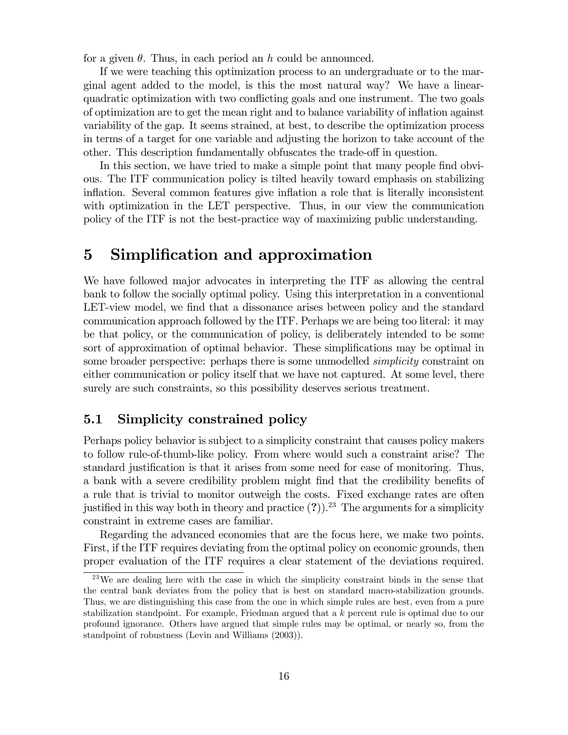for a given  $\theta$ . Thus, in each period an h could be announced.

If we were teaching this optimization process to an undergraduate or to the marginal agent added to the model, is this the most natural way? We have a linearquadratic optimization with two conflicting goals and one instrument. The two goals of optimization are to get the mean right and to balance variability of inflation against variability of the gap. It seems strained, at best, to describe the optimization process in terms of a target for one variable and adjusting the horizon to take account of the other. This description fundamentally obfuscates the trade-off in question.

In this section, we have tried to make a simple point that many people find obvious. The ITF communication policy is tilted heavily toward emphasis on stabilizing inflation. Several common features give inflation a role that is literally inconsistent with optimization in the LET perspective. Thus, in our view the communication policy of the ITF is not the best-practice way of maximizing public understanding.

# 5 Simplification and approximation

We have followed major advocates in interpreting the ITF as allowing the central bank to follow the socially optimal policy. Using this interpretation in a conventional LET-view model, we find that a dissonance arises between policy and the standard communication approach followed by the ITF. Perhaps we are being too literal: it may be that policy, or the communication of policy, is deliberately intended to be some sort of approximation of optimal behavior. These simplifications may be optimal in some broader perspective: perhaps there is some unmodelled *simplicity* constraint on either communication or policy itself that we have not captured. At some level, there surely are such constraints, so this possibility deserves serious treatment.

## 5.1 Simplicity constrained policy

Perhaps policy behavior is subject to a simplicity constraint that causes policy makers to follow rule-of-thumb-like policy. From where would such a constraint arise? The standard justification is that it arises from some need for ease of monitoring. Thus, a bank with a severe credibility problem might find that the credibility benefits of a rule that is trivial to monitor outweigh the costs. Fixed exchange rates are often justified in this way both in theory and practice  $(?)$ .<sup>23</sup> The arguments for a simplicity constraint in extreme cases are familiar.

Regarding the advanced economies that are the focus here, we make two points. First, if the ITF requires deviating from the optimal policy on economic grounds, then proper evaluation of the ITF requires a clear statement of the deviations required.

<sup>&</sup>lt;sup>23</sup>We are dealing here with the case in which the simplicity constraint binds in the sense that the central bank deviates from the policy that is best on standard macro-stabilization grounds. Thus, we are distinguishing this case from the one in which simple rules are best, even from a pure stabilization standpoint. For example, Friedman argued that a k percent rule is optimal due to our profound ignorance. Others have argued that simple rules may be optimal, or nearly so, from the standpoint of robustness (Levin and Williams (2003)).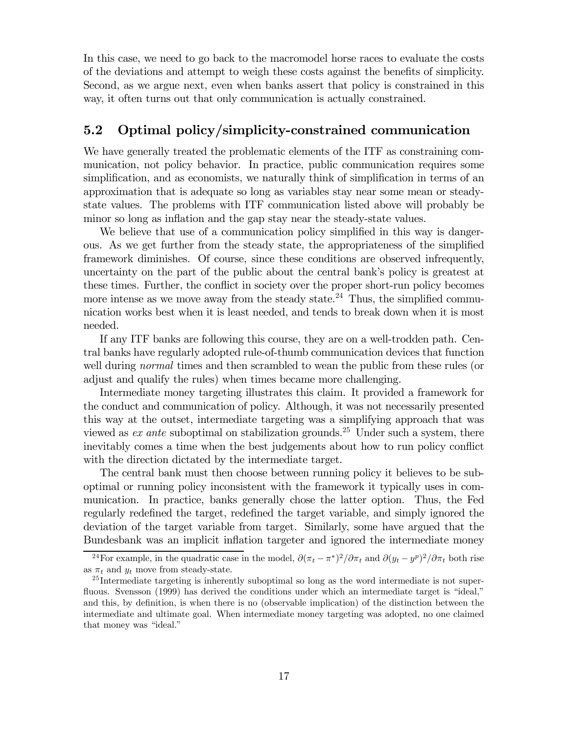In this case, we need to go back to the macromodel horse races to evaluate the costs of the deviations and attempt to weigh these costs against the benefits of simplicity. Second, as we argue next, even when banks assert that policy is constrained in this way, it often turns out that only communication is actually constrained.

## 5.2 Optimal policy/simplicity-constrained communication

We have generally treated the problematic elements of the ITF as constraining communication, not policy behavior. In practice, public communication requires some simplification, and as economists, we naturally think of simplification in terms of an approximation that is adequate so long as variables stay near some mean or steadystate values. The problems with ITF communication listed above will probably be minor so long as inflation and the gap stay near the steady-state values.

We believe that use of a communication policy simplified in this way is dangerous. As we get further from the steady state, the appropriateness of the simplified framework diminishes. Of course, since these conditions are observed infrequently, uncertainty on the part of the public about the central bank's policy is greatest at these times. Further, the conflict in society over the proper short-run policy becomes more intense as we move away from the steady state.<sup>24</sup> Thus, the simplified communication works best when it is least needed, and tends to break down when it is most needed.

If any ITF banks are following this course, they are on a well-trodden path. Central banks have regularly adopted rule-of-thumb communication devices that function well during *normal* times and then scrambled to wean the public from these rules (or adjust and qualify the rules) when times became more challenging.

Intermediate money targeting illustrates this claim. It provided a framework for the conduct and communication of policy. Although, it was not necessarily presented this way at the outset, intermediate targeting was a simplifying approach that was viewed as *ex ante* suboptimal on stabilization grounds.<sup>25</sup> Under such a system, there inevitably comes a time when the best judgements about how to run policy conflict with the direction dictated by the intermediate target.

The central bank must then choose between running policy it believes to be suboptimal or running policy inconsistent with the framework it typically uses in communication. In practice, banks generally chose the latter option. Thus, the Fed regularly redefined the target, redefined the target variable, and simply ignored the deviation of the target variable from target. Similarly, some have argued that the Bundesbank was an implicit inflation targeter and ignored the intermediate money

<sup>&</sup>lt;sup>24</sup>For example, in the quadratic case in the model,  $\partial (\pi_t - \pi^*)^2 / \partial \pi_t$  and  $\partial (y_t - y^p)^2 / \partial \pi_t$  both rise as  $\pi_t$  and  $y_t$  move from steady-state.

<sup>&</sup>lt;sup>25</sup> Intermediate targeting is inherently suboptimal so long as the word intermediate is not superfluous. Svensson (1999) has derived the conditions under which an intermediate target is "ideal," and this, by definition, is when there is no (observable implication) of the distinction between the intermediate and ultimate goal. When intermediate money targeting was adopted, no one claimed that money was "ideal."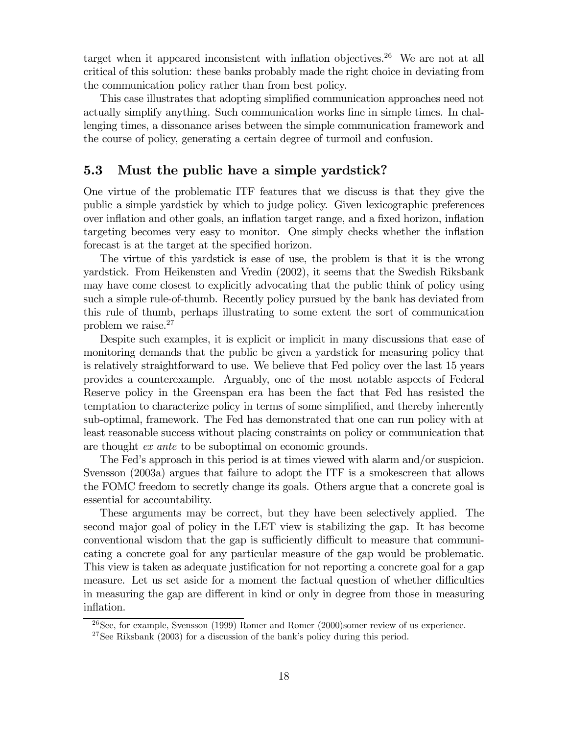target when it appeared inconsistent with inflation objectives.<sup>26</sup> We are not at all critical of this solution: these banks probably made the right choice in deviating from the communication policy rather than from best policy.

This case illustrates that adopting simplified communication approaches need not actually simplify anything. Such communication works fine in simple times. In challenging times, a dissonance arises between the simple communication framework and the course of policy, generating a certain degree of turmoil and confusion.

## 5.3 Must the public have a simple yardstick?

One virtue of the problematic ITF features that we discuss is that they give the public a simple yardstick by which to judge policy. Given lexicographic preferences over inflation and other goals, an inflation target range, and a fixed horizon, inflation targeting becomes very easy to monitor. One simply checks whether the inflation forecast is at the target at the specified horizon.

The virtue of this yardstick is ease of use, the problem is that it is the wrong yardstick. From Heikensten and Vredin (2002), it seems that the Swedish Riksbank may have come closest to explicitly advocating that the public think of policy using such a simple rule-of-thumb. Recently policy pursued by the bank has deviated from this rule of thumb, perhaps illustrating to some extent the sort of communication problem we raise.27

Despite such examples, it is explicit or implicit in many discussions that ease of monitoring demands that the public be given a yardstick for measuring policy that is relatively straightforward to use. We believe that Fed policy over the last 15 years provides a counterexample. Arguably, one of the most notable aspects of Federal Reserve policy in the Greenspan era has been the fact that Fed has resisted the temptation to characterize policy in terms of some simplified, and thereby inherently sub-optimal, framework. The Fed has demonstrated that one can run policy with at least reasonable success without placing constraints on policy or communication that are thought ex ante to be suboptimal on economic grounds.

The Fed's approach in this period is at times viewed with alarm and/or suspicion. Svensson (2003a) argues that failure to adopt the ITF is a smokescreen that allows the FOMC freedom to secretly change its goals. Others argue that a concrete goal is essential for accountability.

These arguments may be correct, but they have been selectively applied. The second major goal of policy in the LET view is stabilizing the gap. It has become conventional wisdom that the gap is sufficiently difficult to measure that communicating a concrete goal for any particular measure of the gap would be problematic. This view is taken as adequate justification for not reporting a concrete goal for a gap measure. Let us set aside for a moment the factual question of whether difficulties in measuring the gap are different in kind or only in degree from those in measuring inflation.

 $^{26}$ See, for example, Svensson (1999) Romer and Romer (2000)somer review of us experience.

<sup>&</sup>lt;sup>27</sup>See Riksbank (2003) for a discussion of the bank's policy during this period.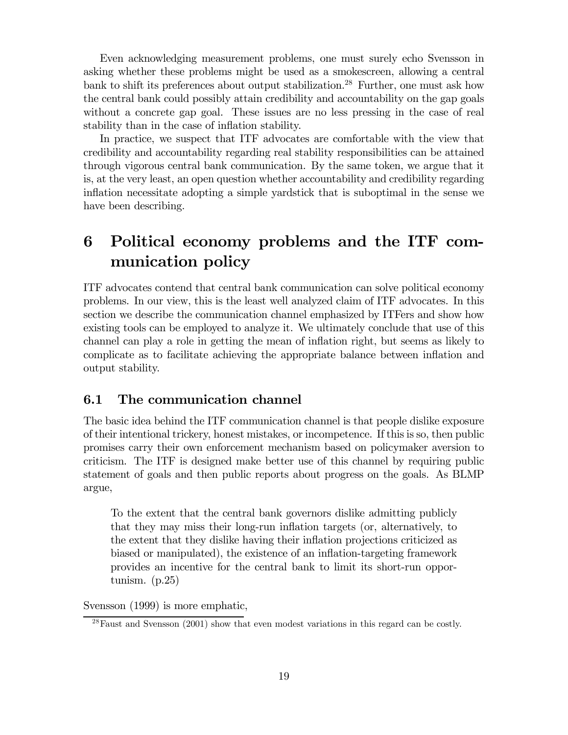Even acknowledging measurement problems, one must surely echo Svensson in asking whether these problems might be used as a smokescreen, allowing a central bank to shift its preferences about output stabilization.28 Further, one must ask how the central bank could possibly attain credibility and accountability on the gap goals without a concrete gap goal. These issues are no less pressing in the case of real stability than in the case of inflation stability.

In practice, we suspect that ITF advocates are comfortable with the view that credibility and accountability regarding real stability responsibilities can be attained through vigorous central bank communication. By the same token, we argue that it is, at the very least, an open question whether accountability and credibility regarding inflation necessitate adopting a simple yardstick that is suboptimal in the sense we have been describing.

# 6 Political economy problems and the ITF communication policy

ITF advocates contend that central bank communication can solve political economy problems. In our view, this is the least well analyzed claim of ITF advocates. In this section we describe the communication channel emphasized by ITFers and show how existing tools can be employed to analyze it. We ultimately conclude that use of this channel can play a role in getting the mean of inflation right, but seems as likely to complicate as to facilitate achieving the appropriate balance between inflation and output stability.

#### 6.1 The communication channel

The basic idea behind the ITF communication channel is that people dislike exposure of their intentional trickery, honest mistakes, or incompetence. If this is so, then public promises carry their own enforcement mechanism based on policymaker aversion to criticism. The ITF is designed make better use of this channel by requiring public statement of goals and then public reports about progress on the goals. As BLMP argue,

To the extent that the central bank governors dislike admitting publicly that they may miss their long-run inflation targets (or, alternatively, to the extent that they dislike having their inflation projections criticized as biased or manipulated), the existence of an inflation-targeting framework provides an incentive for the central bank to limit its short-run opportunism. (p.25)

Svensson (1999) is more emphatic,

<sup>&</sup>lt;sup>28</sup>Faust and Svensson (2001) show that even modest variations in this regard can be costly.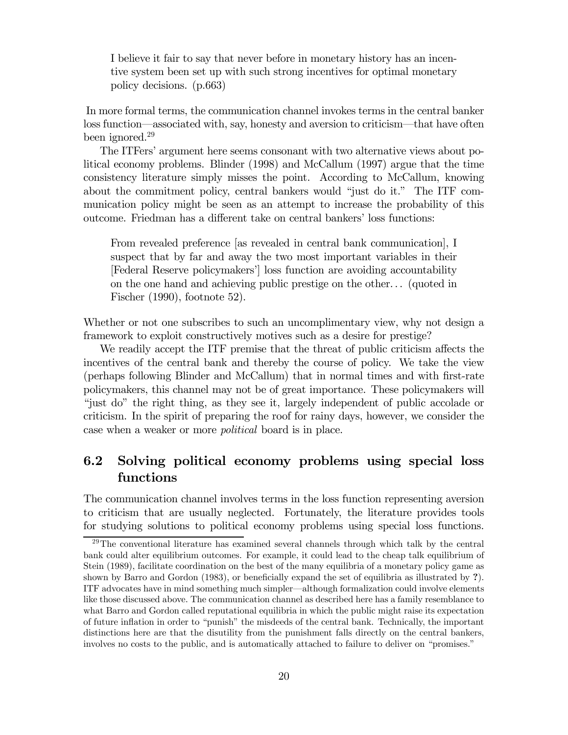I believe it fair to say that never before in monetary history has an incentive system been set up with such strong incentives for optimal monetary policy decisions. (p.663)

In more formal terms, the communication channel invokes terms in the central banker loss function–associated with, say, honesty and aversion to criticism–that have often been ignored.29

The ITFers' argument here seems consonant with two alternative views about political economy problems. Blinder (1998) and McCallum (1997) argue that the time consistency literature simply misses the point. According to McCallum, knowing about the commitment policy, central bankers would "just do it." The ITF communication policy might be seen as an attempt to increase the probability of this outcome. Friedman has a different take on central bankers' loss functions:

From revealed preference [as revealed in central bank communication], I suspect that by far and away the two most important variables in their [Federal Reserve policymakers'] loss function are avoiding accountability on the one hand and achieving public prestige on the other. . . (quoted in Fischer (1990), footnote 52).

Whether or not one subscribes to such an uncomplimentary view, why not design a framework to exploit constructively motives such as a desire for prestige?

We readily accept the ITF premise that the threat of public criticism affects the incentives of the central bank and thereby the course of policy. We take the view (perhaps following Blinder and McCallum) that in normal times and with first-rate policymakers, this channel may not be of great importance. These policymakers will "just do" the right thing, as they see it, largely independent of public accolade or criticism. In the spirit of preparing the roof for rainy days, however, we consider the case when a weaker or more political board is in place.

## 6.2 Solving political economy problems using special loss functions

The communication channel involves terms in the loss function representing aversion to criticism that are usually neglected. Fortunately, the literature provides tools for studying solutions to political economy problems using special loss functions.

 $29$ The conventional literature has examined several channels through which talk by the central bank could alter equilibrium outcomes. For example, it could lead to the cheap talk equilibrium of Stein (1989), facilitate coordination on the best of the many equilibria of a monetary policy game as shown by Barro and Gordon (1983), or beneficially expand the set of equilibria as illustrated by ?). ITF advocates have in mind something much simpler–although formalization could involve elements like those discussed above. The communication channel as described here has a family resemblance to what Barro and Gordon called reputational equilibria in which the public might raise its expectation of future inflation in order to "punish" the misdeeds of the central bank. Technically, the important distinctions here are that the disutility from the punishment falls directly on the central bankers, involves no costs to the public, and is automatically attached to failure to deliver on "promises."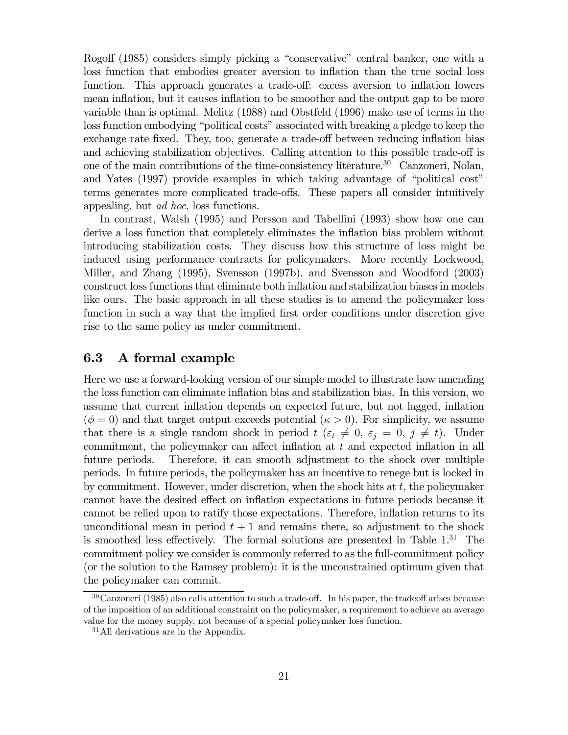Rogoff (1985) considers simply picking a "conservative" central banker, one with a loss function that embodies greater aversion to inflation than the true social loss function. This approach generates a trade-off: excess aversion to inflation lowers mean inflation, but it causes inflation to be smoother and the output gap to be more variable than is optimal. Melitz (1988) and Obstfeld (1996) make use of terms in the loss function embodying "political costs" associated with breaking a pledge to keep the exchange rate fixed. They, too, generate a trade-off between reducing inflation bias and achieving stabilization objectives. Calling attention to this possible trade-off is one of the main contributions of the time-consistency literature.30 Canzoneri, Nolan, and Yates (1997) provide examples in which taking advantage of "political cost" terms generates more complicated trade-offs. These papers all consider intuitively appealing, but ad hoc, loss functions.

In contrast, Walsh (1995) and Persson and Tabellini (1993) show how one can derive a loss function that completely eliminates the inflation bias problem without introducing stabilization costs. They discuss how this structure of loss might be induced using performance contracts for policymakers. More recently Lockwood, Miller, and Zhang (1995), Svensson (1997b), and Svensson and Woodford (2003) construct loss functions that eliminate both inflation and stabilization biases in models like ours. The basic approach in all these studies is to amend the policymaker loss function in such a way that the implied first order conditions under discretion give rise to the same policy as under commitment.

## 6.3 A formal example

Here we use a forward-looking version of our simple model to illustrate how amending the loss function can eliminate inflation bias and stabilization bias. In this version, we assume that current inflation depends on expected future, but not lagged, inflation  $(\phi = 0)$  and that target output exceeds potential  $(\kappa > 0)$ . For simplicity, we assume that there is a single random shock in period  $t$  ( $\varepsilon_t \neq 0$ ,  $\varepsilon_j = 0$ ,  $j \neq t$ ). Under commitment, the policymaker can affect inflation at t and expected inflation in all future periods. Therefore, it can smooth adjustment to the shock over multiple periods. In future periods, the policymaker has an incentive to renege but is locked in by commitment. However, under discretion, when the shock hits at  $t$ , the policymaker cannot have the desired effect on inflation expectations in future periods because it cannot be relied upon to ratify those expectations. Therefore, inflation returns to its unconditional mean in period  $t + 1$  and remains there, so adjustment to the shock is smoothed less effectively. The formal solutions are presented in Table  $1<sup>31</sup>$  The commitment policy we consider is commonly referred to as the full-commitment policy (or the solution to the Ramsey problem): it is the unconstrained optimum given that the policymaker can commit.

<sup>30</sup>Canzoneri (1985) also calls attention to such a trade-off. In his paper, the tradeoff arises because of the imposition of an additional constraint on the policymaker, a requirement to achieve an average value for the money supply, not because of a special policymaker loss function.

<sup>&</sup>lt;sup>31</sup>All derivations are in the Appendix.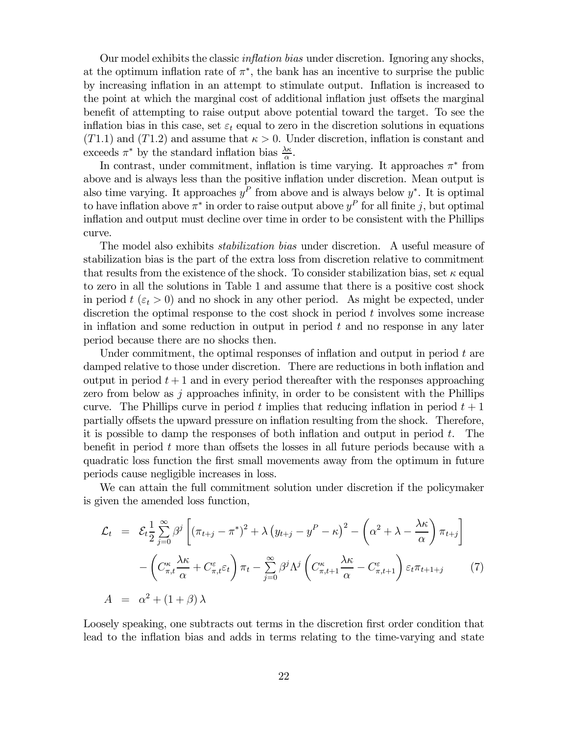Our model exhibits the classic inflation bias under discretion. Ignoring any shocks, at the optimum inflation rate of  $\pi^*$ , the bank has an incentive to surprise the public by increasing inflation in an attempt to stimulate output. Inflation is increased to the point at which the marginal cost of additional inflation just offsets the marginal benefit of attempting to raise output above potential toward the target. To see the inflation bias in this case, set  $\varepsilon_t$  equal to zero in the discretion solutions in equations  $(T1.1)$  and  $(T1.2)$  and assume that  $\kappa > 0$ . Under discretion, inflation is constant and exceeds  $\pi^*$  by the standard inflation bias  $\frac{\lambda \kappa}{\alpha}$ .

In contrast, under commitment, inflation is time varying. It approaches  $\pi^*$  from above and is always less than the positive inflation under discretion. Mean output is also time varying. It approaches  $y^P$  from above and is always below  $y^*$ . It is optimal to have inflation above  $\pi^*$  in order to raise output above  $y^P$  for all finite j, but optimal inflation and output must decline over time in order to be consistent with the Phillips curve.

The model also exhibits *stabilization bias* under discretion. A useful measure of stabilization bias is the part of the extra loss from discretion relative to commitment that results from the existence of the shock. To consider stabilization bias, set  $\kappa$  equal to zero in all the solutions in Table 1 and assume that there is a positive cost shock in period  $t \, (\varepsilon_t > 0)$  and no shock in any other period. As might be expected, under discretion the optimal response to the cost shock in period  $t$  involves some increase in inflation and some reduction in output in period  $t$  and no response in any later period because there are no shocks then.

Under commitment, the optimal responses of inflation and output in period  $t$  are damped relative to those under discretion. There are reductions in both inflation and output in period  $t + 1$  and in every period thereafter with the responses approaching zero from below as j approaches infinity, in order to be consistent with the Phillips curve. The Phillips curve in period t implies that reducing inflation in period  $t + 1$ partially offsets the upward pressure on inflation resulting from the shock. Therefore, it is possible to damp the responses of both inflation and output in period  $t$ . The benefit in period  $t$  more than offsets the losses in all future periods because with a quadratic loss function the first small movements away from the optimum in future periods cause negligible increases in loss.

We can attain the full commitment solution under discretion if the policymaker is given the amended loss function,

$$
\mathcal{L}_{t} = \mathcal{E}_{t} \frac{1}{2} \sum_{j=0}^{\infty} \beta^{j} \left[ (\pi_{t+j} - \pi^{*})^{2} + \lambda \left( y_{t+j} - y^{P} - \kappa \right)^{2} - \left( \alpha^{2} + \lambda - \frac{\lambda \kappa}{\alpha} \right) \pi_{t+j} \right] \n- \left( C_{\pi,t}^{\kappa} \frac{\lambda \kappa}{\alpha} + C_{\pi,t}^{\varepsilon} \varepsilon_{t} \right) \pi_{t} - \sum_{j=0}^{\infty} \beta^{j} \Lambda^{j} \left( C_{\pi,t+1}^{\kappa} \frac{\lambda \kappa}{\alpha} - C_{\pi,t+1}^{\varepsilon} \right) \varepsilon_{t} \pi_{t+1+j}
$$
\n
$$
A = \alpha^{2} + (1 + \beta) \lambda
$$
\n(7)

Loosely speaking, one subtracts out terms in the discretion first order condition that lead to the inflation bias and adds in terms relating to the time-varying and state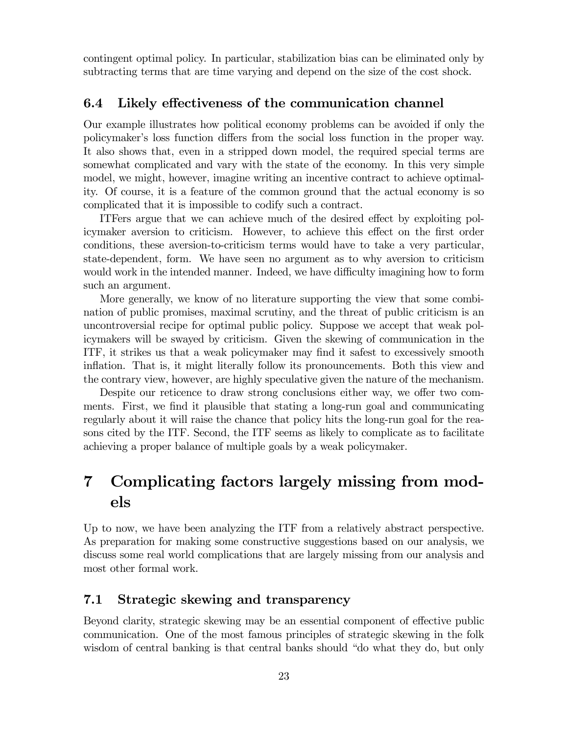contingent optimal policy. In particular, stabilization bias can be eliminated only by subtracting terms that are time varying and depend on the size of the cost shock.

#### 6.4 Likely effectiveness of the communication channel

Our example illustrates how political economy problems can be avoided if only the policymaker's loss function differs from the social loss function in the proper way. It also shows that, even in a stripped down model, the required special terms are somewhat complicated and vary with the state of the economy. In this very simple model, we might, however, imagine writing an incentive contract to achieve optimality. Of course, it is a feature of the common ground that the actual economy is so complicated that it is impossible to codify such a contract.

ITFers argue that we can achieve much of the desired effect by exploiting policymaker aversion to criticism. However, to achieve this effect on the first order conditions, these aversion-to-criticism terms would have to take a very particular, state-dependent, form. We have seen no argument as to why aversion to criticism would work in the intended manner. Indeed, we have difficulty imagining how to form such an argument.

More generally, we know of no literature supporting the view that some combination of public promises, maximal scrutiny, and the threat of public criticism is an uncontroversial recipe for optimal public policy. Suppose we accept that weak policymakers will be swayed by criticism. Given the skewing of communication in the ITF, it strikes us that a weak policymaker may find it safest to excessively smooth inflation. That is, it might literally follow its pronouncements. Both this view and the contrary view, however, are highly speculative given the nature of the mechanism.

Despite our reticence to draw strong conclusions either way, we offer two comments. First, we find it plausible that stating a long-run goal and communicating regularly about it will raise the chance that policy hits the long-run goal for the reasons cited by the ITF. Second, the ITF seems as likely to complicate as to facilitate achieving a proper balance of multiple goals by a weak policymaker.

# 7 Complicating factors largely missing from models

Up to now, we have been analyzing the ITF from a relatively abstract perspective. As preparation for making some constructive suggestions based on our analysis, we discuss some real world complications that are largely missing from our analysis and most other formal work.

### 7.1 Strategic skewing and transparency

Beyond clarity, strategic skewing may be an essential component of effective public communication. One of the most famous principles of strategic skewing in the folk wisdom of central banking is that central banks should "do what they do, but only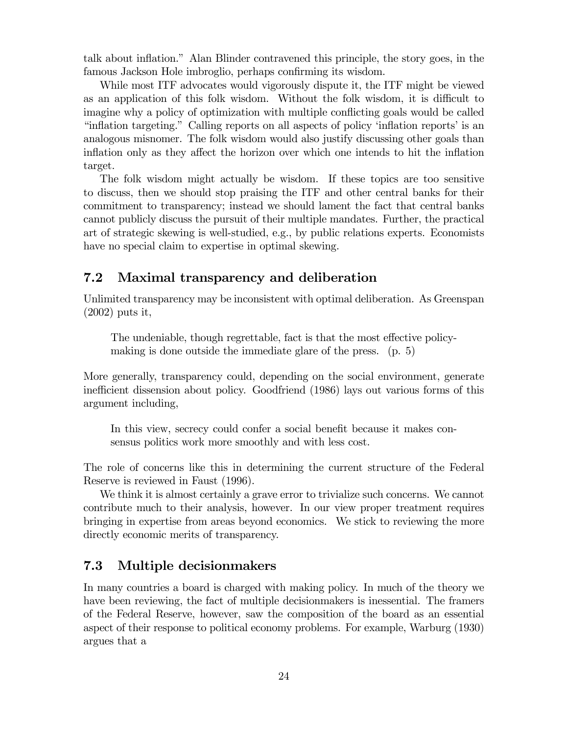talk about inflation." Alan Blinder contravened this principle, the story goes, in the famous Jackson Hole imbroglio, perhaps confirming its wisdom.

While most ITF advocates would vigorously dispute it, the ITF might be viewed as an application of this folk wisdom. Without the folk wisdom, it is difficult to imagine why a policy of optimization with multiple conflicting goals would be called "inflation targeting." Calling reports on all aspects of policy 'inflation reports' is an analogous misnomer. The folk wisdom would also justify discussing other goals than inflation only as they affect the horizon over which one intends to hit the inflation target.

The folk wisdom might actually be wisdom. If these topics are too sensitive to discuss, then we should stop praising the ITF and other central banks for their commitment to transparency; instead we should lament the fact that central banks cannot publicly discuss the pursuit of their multiple mandates. Further, the practical art of strategic skewing is well-studied, e.g., by public relations experts. Economists have no special claim to expertise in optimal skewing.

## 7.2 Maximal transparency and deliberation

Unlimited transparency may be inconsistent with optimal deliberation. As Greenspan (2002) puts it,

The undeniable, though regrettable, fact is that the most effective policymaking is done outside the immediate glare of the press. (p. 5)

More generally, transparency could, depending on the social environment, generate inefficient dissension about policy. Goodfriend (1986) lays out various forms of this argument including,

In this view, secrecy could confer a social benefit because it makes consensus politics work more smoothly and with less cost.

The role of concerns like this in determining the current structure of the Federal Reserve is reviewed in Faust (1996).

We think it is almost certainly a grave error to trivialize such concerns. We cannot contribute much to their analysis, however. In our view proper treatment requires bringing in expertise from areas beyond economics. We stick to reviewing the more directly economic merits of transparency.

### 7.3 Multiple decisionmakers

In many countries a board is charged with making policy. In much of the theory we have been reviewing, the fact of multiple decisionmakers is inessential. The framers of the Federal Reserve, however, saw the composition of the board as an essential aspect of their response to political economy problems. For example, Warburg (1930) argues that a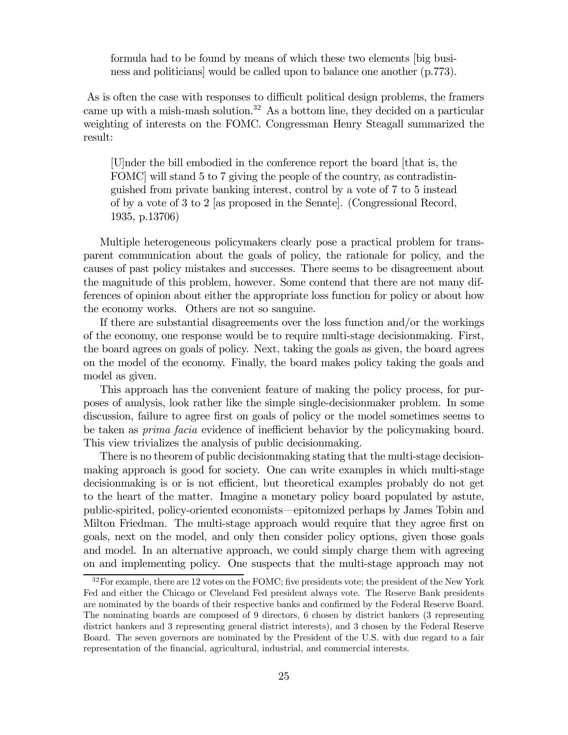formula had to be found by means of which these two elements [big business and politicians] would be called upon to balance one another (p.773).

As is often the case with responses to difficult political design problems, the framers came up with a mish-mash solution.32 As a bottom line, they decided on a particular weighting of interests on the FOMC. Congressman Henry Steagall summarized the result:

[U]nder the bill embodied in the conference report the board [that is, the FOMC] will stand 5 to 7 giving the people of the country, as contradistinguished from private banking interest, control by a vote of 7 to 5 instead of by a vote of 3 to 2 [as proposed in the Senate]. (Congressional Record, 1935, p.13706)

Multiple heterogeneous policymakers clearly pose a practical problem for transparent communication about the goals of policy, the rationale for policy, and the causes of past policy mistakes and successes. There seems to be disagreement about the magnitude of this problem, however. Some contend that there are not many differences of opinion about either the appropriate loss function for policy or about how the economy works. Others are not so sanguine.

If there are substantial disagreements over the loss function and/or the workings of the economy, one response would be to require multi-stage decisionmaking. First, the board agrees on goals of policy. Next, taking the goals as given, the board agrees on the model of the economy. Finally, the board makes policy taking the goals and model as given.

This approach has the convenient feature of making the policy process, for purposes of analysis, look rather like the simple single-decisionmaker problem. In some discussion, failure to agree first on goals of policy or the model sometimes seems to be taken as prima facia evidence of inefficient behavior by the policymaking board. This view trivializes the analysis of public decisionmaking.

There is no theorem of public decisionmaking stating that the multi-stage decisionmaking approach is good for society. One can write examples in which multi-stage decisionmaking is or is not efficient, but theoretical examples probably do not get to the heart of the matter. Imagine a monetary policy board populated by astute, public-spirited, policy-oriented economists–epitomized perhaps by James Tobin and Milton Friedman. The multi-stage approach would require that they agree first on goals, next on the model, and only then consider policy options, given those goals and model. In an alternative approach, we could simply charge them with agreeing on and implementing policy. One suspects that the multi-stage approach may not

<sup>&</sup>lt;sup>32</sup>For example, there are 12 votes on the FOMC; five presidents vote; the president of the New York Fed and either the Chicago or Cleveland Fed president always vote. The Reserve Bank presidents are nominated by the boards of their respective banks and confirmed by the Federal Reserve Board. The nominating boards are composed of 9 directors, 6 chosen by district bankers (3 representing district bankers and 3 representing general district interests), and 3 chosen by the Federal Reserve Board. The seven governors are nominated by the President of the U.S. with due regard to a fair representation of the financial, agricultural, industrial, and commercial interests.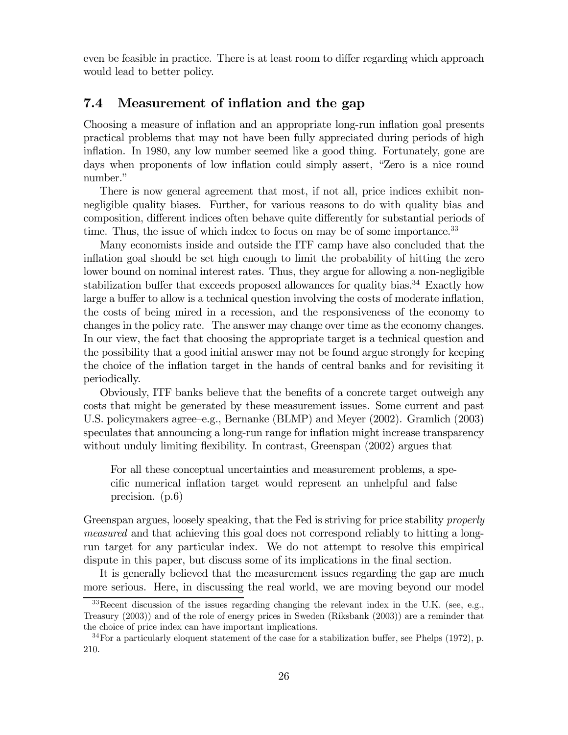even be feasible in practice. There is at least room to differ regarding which approach would lead to better policy.

#### 7.4 Measurement of inflation and the gap

Choosing a measure of inflation and an appropriate long-run inflation goal presents practical problems that may not have been fully appreciated during periods of high inflation. In 1980, any low number seemed like a good thing. Fortunately, gone are days when proponents of low inflation could simply assert, "Zero is a nice round number."

There is now general agreement that most, if not all, price indices exhibit nonnegligible quality biases. Further, for various reasons to do with quality bias and composition, different indices often behave quite differently for substantial periods of time. Thus, the issue of which index to focus on may be of some importance.<sup>33</sup>

Many economists inside and outside the ITF camp have also concluded that the inflation goal should be set high enough to limit the probability of hitting the zero lower bound on nominal interest rates. Thus, they argue for allowing a non-negligible stabilization buffer that exceeds proposed allowances for quality bias.<sup>34</sup> Exactly how large a buffer to allow is a technical question involving the costs of moderate inflation, the costs of being mired in a recession, and the responsiveness of the economy to changes in the policy rate. The answer may change over time as the economy changes. In our view, the fact that choosing the appropriate target is a technical question and the possibility that a good initial answer may not be found argue strongly for keeping the choice of the inflation target in the hands of central banks and for revisiting it periodically.

Obviously, ITF banks believe that the benefits of a concrete target outweigh any costs that might be generated by these measurement issues. Some current and past U.S. policymakers agree—e.g., Bernanke (BLMP) and Meyer (2002). Gramlich (2003) speculates that announcing a long-run range for inflation might increase transparency without unduly limiting flexibility. In contrast, Greenspan (2002) argues that

For all these conceptual uncertainties and measurement problems, a specific numerical inflation target would represent an unhelpful and false precision. (p.6)

Greenspan argues, loosely speaking, that the Fed is striving for price stability *properly* measured and that achieving this goal does not correspond reliably to hitting a longrun target for any particular index. We do not attempt to resolve this empirical dispute in this paper, but discuss some of its implications in the final section.

It is generally believed that the measurement issues regarding the gap are much more serious. Here, in discussing the real world, we are moving beyond our model

 $33$ Recent discussion of the issues regarding changing the relevant index in the U.K. (see, e.g., Treasury (2003)) and of the role of energy prices in Sweden (Riksbank (2003)) are a reminder that the choice of price index can have important implications.

<sup>34</sup>For a particularly eloquent statement of the case for a stabilization buffer, see Phelps (1972), p. 210.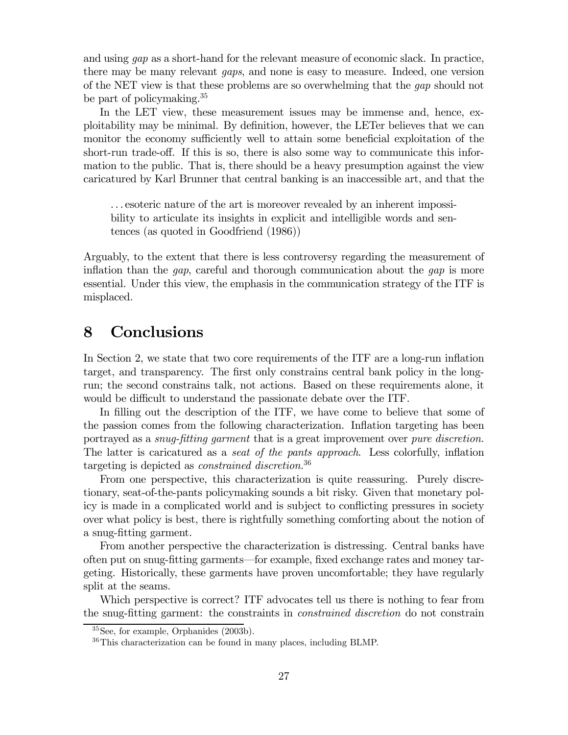and using gap as a short-hand for the relevant measure of economic slack. In practice, there may be many relevant gaps, and none is easy to measure. Indeed, one version of the NET view is that these problems are so overwhelming that the gap should not be part of policymaking.35

In the LET view, these measurement issues may be immense and, hence, exploitability may be minimal. By definition, however, the LETer believes that we can monitor the economy sufficiently well to attain some beneficial exploitation of the short-run trade-off. If this is so, there is also some way to communicate this information to the public. That is, there should be a heavy presumption against the view caricatured by Karl Brunner that central banking is an inaccessible art, and that the

. . . esoteric nature of the art is moreover revealed by an inherent impossibility to articulate its insights in explicit and intelligible words and sentences (as quoted in Goodfriend (1986))

Arguably, to the extent that there is less controversy regarding the measurement of inflation than the *gap*, careful and thorough communication about the *gap* is more essential. Under this view, the emphasis in the communication strategy of the ITF is misplaced.

# 8 Conclusions

In Section 2, we state that two core requirements of the ITF are a long-run inflation target, and transparency. The first only constrains central bank policy in the longrun; the second constrains talk, not actions. Based on these requirements alone, it would be difficult to understand the passionate debate over the ITF.

In filling out the description of the ITF, we have come to believe that some of the passion comes from the following characterization. Inflation targeting has been portrayed as a *snug-fitting garment* that is a great improvement over *pure discretion*. The latter is caricatured as a seat of the pants approach. Less colorfully, inflation targeting is depicted as *constrained discretion*.<sup>36</sup>

From one perspective, this characterization is quite reassuring. Purely discretionary, seat-of-the-pants policymaking sounds a bit risky. Given that monetary policy is made in a complicated world and is subject to conflicting pressures in society over what policy is best, there is rightfully something comforting about the notion of a snug-fitting garment.

From another perspective the characterization is distressing. Central banks have often put on snug-fitting garments–for example, fixed exchange rates and money targeting. Historically, these garments have proven uncomfortable; they have regularly split at the seams.

Which perspective is correct? ITF advocates tell us there is nothing to fear from the snug-fitting garment: the constraints in constrained discretion do not constrain

<sup>35</sup>See, for example, Orphanides (2003b).

<sup>36</sup>This characterization can be found in many places, including BLMP.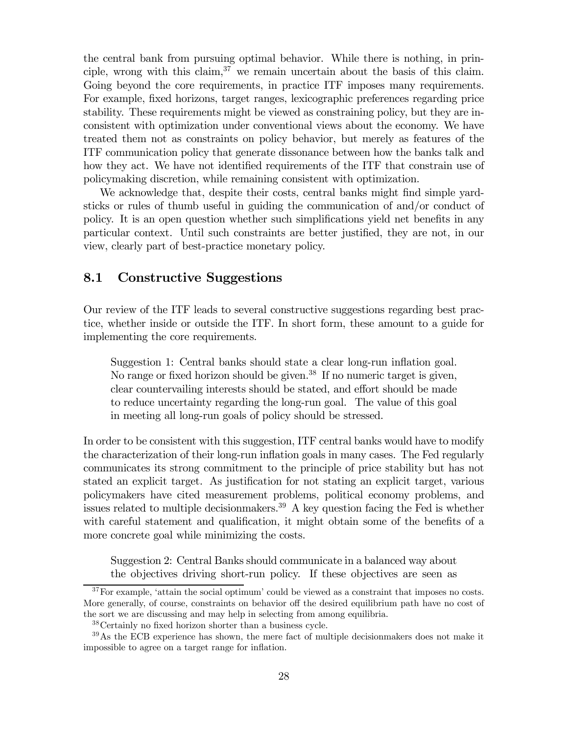the central bank from pursuing optimal behavior. While there is nothing, in principle, wrong with this claim,  $37$  we remain uncertain about the basis of this claim. Going beyond the core requirements, in practice ITF imposes many requirements. For example, fixed horizons, target ranges, lexicographic preferences regarding price stability. These requirements might be viewed as constraining policy, but they are inconsistent with optimization under conventional views about the economy. We have treated them not as constraints on policy behavior, but merely as features of the ITF communication policy that generate dissonance between how the banks talk and how they act. We have not identified requirements of the ITF that constrain use of policymaking discretion, while remaining consistent with optimization.

We acknowledge that, despite their costs, central banks might find simple yardsticks or rules of thumb useful in guiding the communication of and/or conduct of policy. It is an open question whether such simplifications yield net benefits in any particular context. Until such constraints are better justified, they are not, in our view, clearly part of best-practice monetary policy.

## 8.1 Constructive Suggestions

Our review of the ITF leads to several constructive suggestions regarding best practice, whether inside or outside the ITF. In short form, these amount to a guide for implementing the core requirements.

Suggestion 1: Central banks should state a clear long-run inflation goal. No range or fixed horizon should be given.<sup>38</sup> If no numeric target is given, clear countervailing interests should be stated, and effort should be made to reduce uncertainty regarding the long-run goal. The value of this goal in meeting all long-run goals of policy should be stressed.

In order to be consistent with this suggestion, ITF central banks would have to modify the characterization of their long-run inflation goals in many cases. The Fed regularly communicates its strong commitment to the principle of price stability but has not stated an explicit target. As justification for not stating an explicit target, various policymakers have cited measurement problems, political economy problems, and issues related to multiple decision makers.<sup>39</sup> A key question facing the Fed is whether with careful statement and qualification, it might obtain some of the benefits of a more concrete goal while minimizing the costs.

Suggestion 2: Central Banks should communicate in a balanced way about the objectives driving short-run policy. If these objectives are seen as

<sup>&</sup>lt;sup>37</sup>For example, 'attain the social optimum' could be viewed as a constraint that imposes no costs. More generally, of course, constraints on behavior off the desired equilibrium path have no cost of the sort we are discussing and may help in selecting from among equilibria.

<sup>38</sup>Certainly no fixed horizon shorter than a business cycle.

<sup>&</sup>lt;sup>39</sup>As the ECB experience has shown, the mere fact of multiple decisionmakers does not make it impossible to agree on a target range for inflation.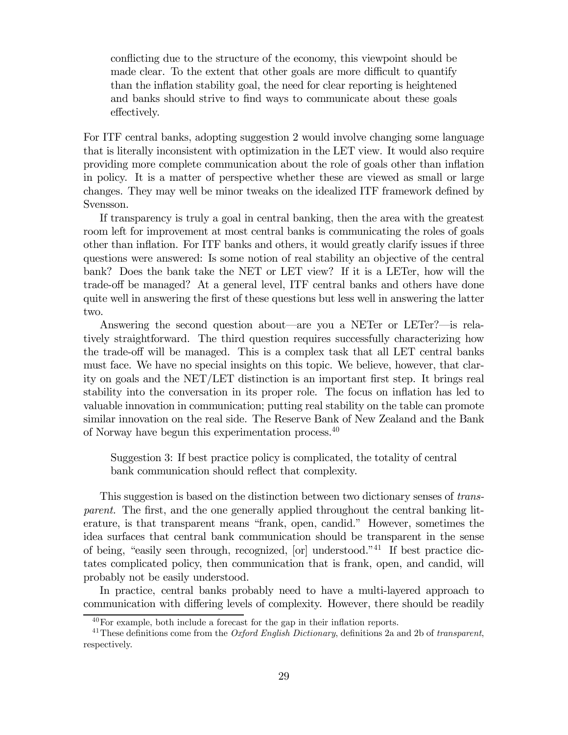conflicting due to the structure of the economy, this viewpoint should be made clear. To the extent that other goals are more difficult to quantify than the inflation stability goal, the need for clear reporting is heightened and banks should strive to find ways to communicate about these goals effectively.

For ITF central banks, adopting suggestion 2 would involve changing some language that is literally inconsistent with optimization in the LET view. It would also require providing more complete communication about the role of goals other than inflation in policy. It is a matter of perspective whether these are viewed as small or large changes. They may well be minor tweaks on the idealized ITF framework defined by Svensson.

If transparency is truly a goal in central banking, then the area with the greatest room left for improvement at most central banks is communicating the roles of goals other than inflation. For ITF banks and others, it would greatly clarify issues if three questions were answered: Is some notion of real stability an objective of the central bank? Does the bank take the NET or LET view? If it is a LETer, how will the trade-off be managed? At a general level, ITF central banks and others have done quite well in answering the first of these questions but less well in answering the latter two.

Answering the second question about–are you a NETer or LETer?–is relatively straightforward. The third question requires successfully characterizing how the trade-off will be managed. This is a complex task that all LET central banks must face. We have no special insights on this topic. We believe, however, that clarity on goals and the NET/LET distinction is an important first step. It brings real stability into the conversation in its proper role. The focus on inflation has led to valuable innovation in communication; putting real stability on the table can promote similar innovation on the real side. The Reserve Bank of New Zealand and the Bank of Norway have begun this experimentation process.<sup>40</sup>

Suggestion 3: If best practice policy is complicated, the totality of central bank communication should reflect that complexity.

This suggestion is based on the distinction between two dictionary senses of transparent. The first, and the one generally applied throughout the central banking literature, is that transparent means "frank, open, candid." However, sometimes the idea surfaces that central bank communication should be transparent in the sense of being, "easily seen through, recognized, [or] understood."41 If best practice dictates complicated policy, then communication that is frank, open, and candid, will probably not be easily understood.

In practice, central banks probably need to have a multi-layered approach to communication with differing levels of complexity. However, there should be readily

 $^{40}$ For example, both include a forecast for the gap in their inflation reports.

<sup>&</sup>lt;sup>41</sup> These definitions come from the *Oxford English Dictionary*, definitions 2a and 2b of transparent, respectively.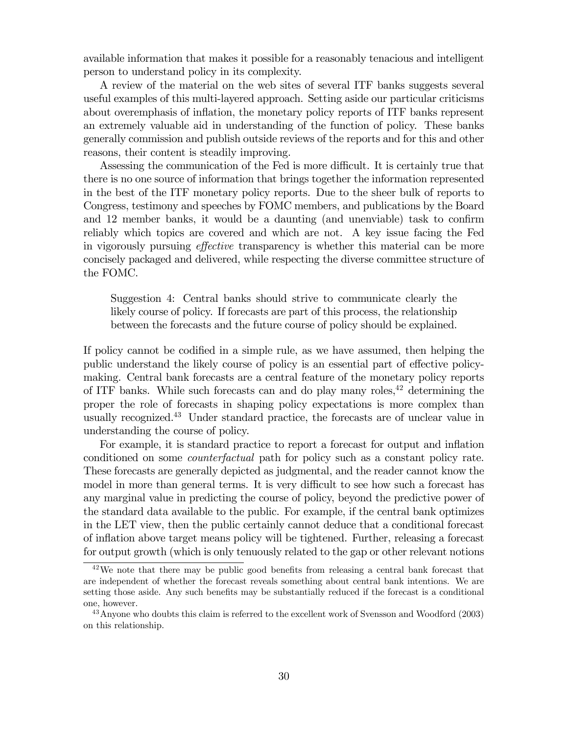available information that makes it possible for a reasonably tenacious and intelligent person to understand policy in its complexity.

A review of the material on the web sites of several ITF banks suggests several useful examples of this multi-layered approach. Setting aside our particular criticisms about overemphasis of inflation, the monetary policy reports of ITF banks represent an extremely valuable aid in understanding of the function of policy. These banks generally commission and publish outside reviews of the reports and for this and other reasons, their content is steadily improving.

Assessing the communication of the Fed is more difficult. It is certainly true that there is no one source of information that brings together the information represented in the best of the ITF monetary policy reports. Due to the sheer bulk of reports to Congress, testimony and speeches by FOMC members, and publications by the Board and 12 member banks, it would be a daunting (and unenviable) task to confirm reliably which topics are covered and which are not. A key issue facing the Fed in vigorously pursuing effective transparency is whether this material can be more concisely packaged and delivered, while respecting the diverse committee structure of the FOMC.

Suggestion 4: Central banks should strive to communicate clearly the likely course of policy. If forecasts are part of this process, the relationship between the forecasts and the future course of policy should be explained.

If policy cannot be codified in a simple rule, as we have assumed, then helping the public understand the likely course of policy is an essential part of effective policymaking. Central bank forecasts are a central feature of the monetary policy reports of ITF banks. While such forecasts can and do play many roles,  $42$  determining the proper the role of forecasts in shaping policy expectations is more complex than usually recognized.43 Under standard practice, the forecasts are of unclear value in understanding the course of policy.

For example, it is standard practice to report a forecast for output and inflation conditioned on some counterfactual path for policy such as a constant policy rate. These forecasts are generally depicted as judgmental, and the reader cannot know the model in more than general terms. It is very difficult to see how such a forecast has any marginal value in predicting the course of policy, beyond the predictive power of the standard data available to the public. For example, if the central bank optimizes in the LET view, then the public certainly cannot deduce that a conditional forecast of inflation above target means policy will be tightened. Further, releasing a forecast for output growth (which is only tenuously related to the gap or other relevant notions

 $42$ We note that there may be public good benefits from releasing a central bank forecast that are independent of whether the forecast reveals something about central bank intentions. We are setting those aside. Any such benefits may be substantially reduced if the forecast is a conditional one, however.

<sup>&</sup>lt;sup>43</sup> Anyone who doubts this claim is referred to the excellent work of Svensson and Woodford (2003) on this relationship.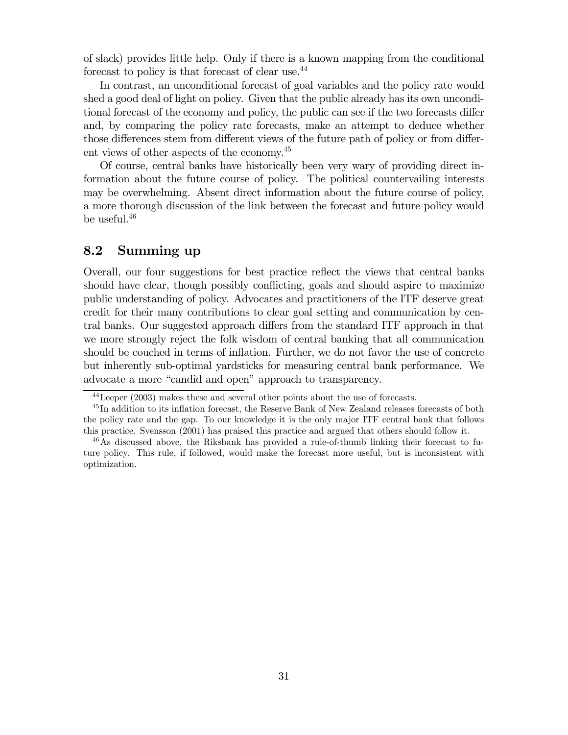of slack) provides little help. Only if there is a known mapping from the conditional forecast to policy is that forecast of clear use.<sup>44</sup>

In contrast, an unconditional forecast of goal variables and the policy rate would shed a good deal of light on policy. Given that the public already has its own unconditional forecast of the economy and policy, the public can see if the two forecasts differ and, by comparing the policy rate forecasts, make an attempt to deduce whether those differences stem from different views of the future path of policy or from different views of other aspects of the economy.<sup>45</sup>

Of course, central banks have historically been very wary of providing direct information about the future course of policy. The political countervailing interests may be overwhelming. Absent direct information about the future course of policy, a more thorough discussion of the link between the forecast and future policy would be useful.46

#### 8.2 Summing up

Overall, our four suggestions for best practice reflect the views that central banks should have clear, though possibly conflicting, goals and should aspire to maximize public understanding of policy. Advocates and practitioners of the ITF deserve great credit for their many contributions to clear goal setting and communication by central banks. Our suggested approach differs from the standard ITF approach in that we more strongly reject the folk wisdom of central banking that all communication should be couched in terms of inflation. Further, we do not favor the use of concrete but inherently sub-optimal yardsticks for measuring central bank performance. We advocate a more "candid and open" approach to transparency.

 $44$ Leeper (2003) makes these and several other points about the use of forecasts.

<sup>&</sup>lt;sup>45</sup>In addition to its inflation forecast, the Reserve Bank of New Zealand releases forecasts of both the policy rate and the gap. To our knowledge it is the only major ITF central bank that follows this practice. Svensson (2001) has praised this practice and argued that others should follow it.

<sup>&</sup>lt;sup>46</sup>As discussed above, the Riksbank has provided a rule-of-thumb linking their forecast to future policy. This rule, if followed, would make the forecast more useful, but is inconsistent with optimization.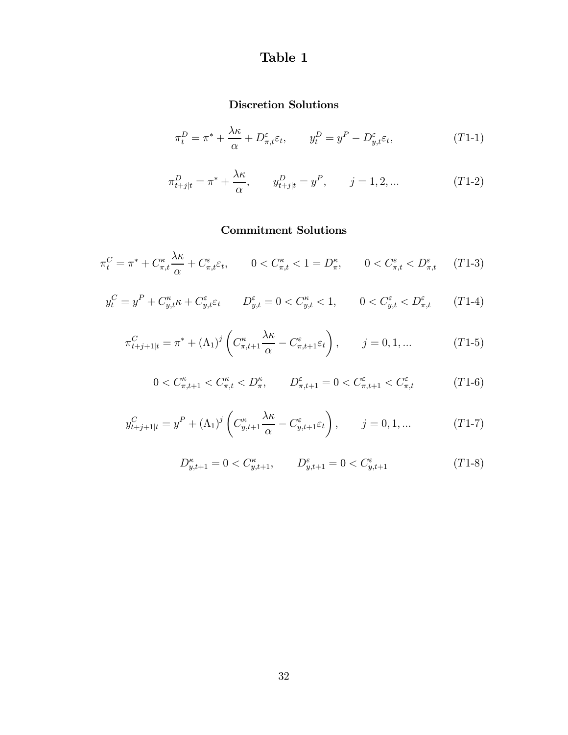# Table 1

## Discretion Solutions

$$
\pi_t^D = \pi^* + \frac{\lambda \kappa}{\alpha} + D_{\pi, t}^{\varepsilon} \varepsilon_t, \qquad y_t^D = y^P - D_{y, t}^{\varepsilon} \varepsilon_t,
$$
\n
$$
(T1-1)
$$

$$
\pi_{t+j|t}^D = \pi^* + \frac{\lambda \kappa}{\alpha}, \qquad y_{t+j|t}^D = y^P, \qquad j = 1, 2, ... \tag{T1-2}
$$

## Commitment Solutions

$$
\pi_t^C = \pi^* + C_{\pi,t}^\kappa \frac{\lambda \kappa}{\alpha} + C_{\pi,t}^\varepsilon \varepsilon_t, \qquad 0 < C_{\pi,t}^\kappa < 1 = D_\pi^\kappa, \qquad 0 < C_{\pi,t}^\varepsilon < D_{\pi,t}^\varepsilon \qquad (T1-3)
$$

$$
y_t^C = y^P + C_{y,t}^{\kappa} \kappa + C_{y,t}^{\varepsilon} \varepsilon_t \qquad D_{y,t}^{\varepsilon} = 0 < C_{y,t}^{\kappa} < 1, \qquad 0 < C_{y,t}^{\varepsilon} < D_{\pi,t}^{\varepsilon} \qquad (T1-4)
$$

$$
\pi_{t+j+1|t}^C = \pi^* + (\Lambda_1)^j \left( C_{\pi,t+1}^\kappa \frac{\lambda \kappa}{\alpha} - C_{\pi,t+1}^\varepsilon \varepsilon_t \right), \qquad j = 0, 1, \dots \tag{T1-5}
$$

$$
0 < C_{\pi,t+1}^{\kappa} < C_{\pi,t}^{\kappa} < D_{\pi}^{\kappa}, \qquad D_{\pi,t+1}^{\varepsilon} = 0 < C_{\pi,t+1}^{\varepsilon} < C_{\pi,t}^{\varepsilon} \tag{T1-6}
$$

$$
y_{t+j+1|t}^{C} = y^{P} + (\Lambda_{1})^{j} \left( C_{y,t+1}^{\kappa} \frac{\lambda \kappa}{\alpha} - C_{y,t+1}^{\varepsilon} \varepsilon_{t} \right), \qquad j = 0, 1, ... \qquad (T1-7)
$$

$$
D^{\kappa}_{y,t+1}=0
$$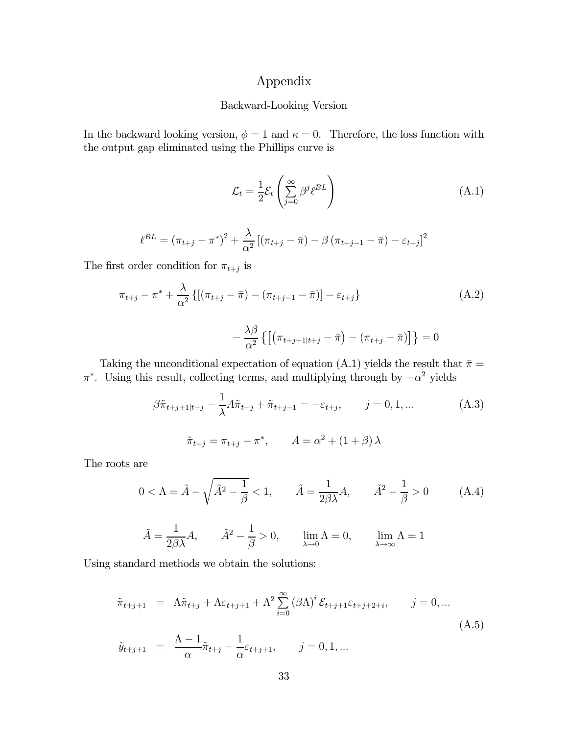## Appendix

#### Backward-Looking Version

In the backward looking version,  $\phi = 1$  and  $\kappa = 0$ . Therefore, the loss function with the output gap eliminated using the Phillips curve is

$$
\mathcal{L}_t = \frac{1}{2} \mathcal{E}_t \left( \sum_{j=0}^{\infty} \beta^j \ell^{BL} \right)
$$
 (A.1)

$$
\ell^{BL} = (\pi_{t+j} - \pi^*)^2 + \frac{\lambda}{\alpha^2} [(\pi_{t+j} - \bar{\pi}) - \beta (\pi_{t+j-1} - \bar{\pi}) - \varepsilon_{t+j}]^2
$$

The first order condition for  $\pi_{t+j}$  is

$$
\pi_{t+j} - \pi^* + \frac{\lambda}{\alpha^2} \{ [(\pi_{t+j} - \bar{\pi}) - (\pi_{t+j-1} - \bar{\pi})] - \varepsilon_{t+j} \}
$$
\n(A.2)

$$
-\frac{\lambda\beta}{\alpha^2}\left\{\left[\left(\pi_{t+j+1|t+j}-\bar{\pi}\right)-\left(\pi_{t+j}-\bar{\pi}\right)\right]\right\}=0
$$

Taking the unconditional expectation of equation (A.1) yields the result that  $\bar{\pi} =$  $\pi^*$ . Using this result, collecting terms, and multiplying through by  $-\alpha^2$  yields

$$
\beta \tilde{\pi}_{t+j+1|t+j} - \frac{1}{\lambda} A \tilde{\pi}_{t+j} + \tilde{\pi}_{t+j-1} = -\varepsilon_{t+j}, \qquad j = 0, 1, ...
$$
  

$$
\tilde{\pi}_{t+j} = \pi_{t+j} - \pi^*, \qquad A = \alpha^2 + (1 + \beta) \lambda
$$
 (A.3)

The roots are

$$
0 < \Lambda = \tilde{A} - \sqrt{\tilde{A}^2 - \frac{1}{\beta}} < 1, \qquad \tilde{A} = \frac{1}{2\beta\lambda}A, \qquad \tilde{A}^2 - \frac{1}{\beta} > 0
$$
 (A.4)

$$
\tilde{A} = \frac{1}{2\beta\lambda}A
$$
,  $\tilde{A}^2 - \frac{1}{\beta} > 0$ ,  $\lim_{\lambda \to 0} \Lambda = 0$ ,  $\lim_{\lambda \to \infty} \Lambda = 1$ 

Using standard methods we obtain the solutions:

$$
\tilde{\pi}_{t+j+1} = \Lambda \tilde{\pi}_{t+j} + \Lambda \varepsilon_{t+j+1} + \Lambda^2 \sum_{i=0}^{\infty} (\beta \Lambda)^i \mathcal{E}_{t+j+1} \varepsilon_{t+j+2+i}, \qquad j = 0, \dots
$$
\n
$$
\tilde{y}_{t+j+1} = \frac{\Lambda - 1}{\alpha} \tilde{\pi}_{t+j} - \frac{1}{\alpha} \varepsilon_{t+j+1}, \qquad j = 0, 1, \dots
$$
\n(A.5)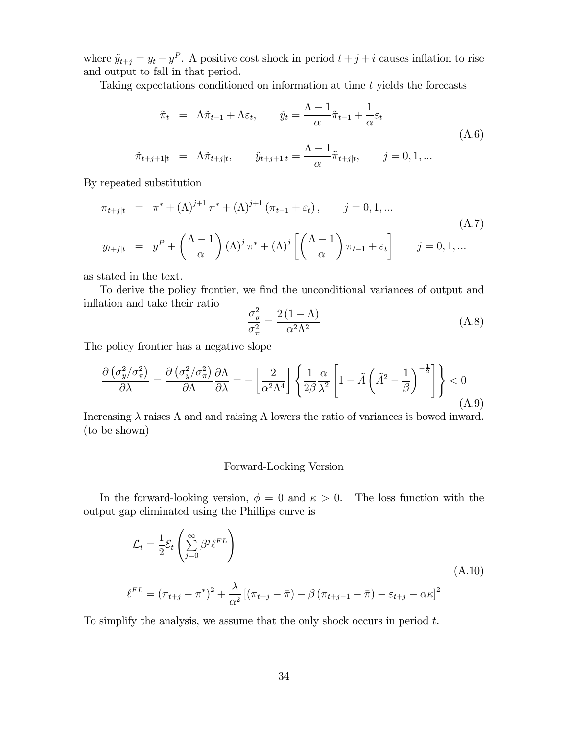where  $\tilde{y}_{t+j} = y_t - y^P$ . A positive cost shock in period  $t + j + i$  causes inflation to rise and output to fall in that period.

Taking expectations conditioned on information at time t yields the forecasts

$$
\tilde{\pi}_t = \Lambda \tilde{\pi}_{t-1} + \Lambda \varepsilon_t, \qquad \tilde{y}_t = \frac{\Lambda - 1}{\alpha} \tilde{\pi}_{t-1} + \frac{1}{\alpha} \varepsilon_t
$$
\n
$$
\tilde{\pi}_{t+j+1|t} = \Lambda \tilde{\pi}_{t+j|t}, \qquad \tilde{y}_{t+j+1|t} = \frac{\Lambda - 1}{\alpha} \tilde{\pi}_{t+j|t}, \qquad j = 0, 1, \dots
$$
\n(A.6)

By repeated substitution

$$
\pi_{t+j|t} = \pi^* + (\Lambda)^{j+1} \pi^* + (\Lambda)^{j+1} (\pi_{t-1} + \varepsilon_t), \qquad j = 0, 1, ...
$$
\n
$$
y_{t+j|t} = y^P + \left(\frac{\Lambda - 1}{\alpha}\right) (\Lambda)^j \pi^* + (\Lambda)^j \left[ \left(\frac{\Lambda - 1}{\alpha}\right) \pi_{t-1} + \varepsilon_t \right] \qquad j = 0, 1, ...
$$
\n(A.7)

as stated in the text.

To derive the policy frontier, we find the unconditional variances of output and inflation and take their ratio

$$
\frac{\sigma_y^2}{\sigma_\pi^2} = \frac{2(1-\Lambda)}{\alpha^2 \Lambda^2} \tag{A.8}
$$

The policy frontier has a negative slope

$$
\frac{\partial \left(\sigma_{y}^{2}/\sigma_{\pi}^{2}\right)}{\partial \lambda} = \frac{\partial \left(\sigma_{y}^{2}/\sigma_{\pi}^{2}\right)}{\partial \Lambda} \frac{\partial \Lambda}{\partial \lambda} = -\left[\frac{2}{\alpha^{2}\Lambda^{4}}\right] \left\{\frac{1}{2\beta} \frac{\alpha}{\lambda^{2}} \left[1 - \tilde{A}\left(\tilde{A}^{2} - \frac{1}{\beta}\right)^{-\frac{1}{2}}\right]\right\} < 0
$$
\n(A.9)

Increasing  $\lambda$  raises  $\Lambda$  and and raising  $\Lambda$  lowers the ratio of variances is bowed inward. (to be shown)

#### Forward-Looking Version

In the forward-looking version,  $\phi = 0$  and  $\kappa > 0$ . The loss function with the output gap eliminated using the Phillips curve is

$$
\mathcal{L}_{t} = \frac{1}{2} \mathcal{E}_{t} \left( \sum_{j=0}^{\infty} \beta^{j} \ell^{FL} \right)
$$
\n
$$
\ell^{FL} = (\pi_{t+j} - \pi^{*})^{2} + \frac{\lambda}{\alpha^{2}} \left[ (\pi_{t+j} - \bar{\pi}) - \beta (\pi_{t+j-1} - \bar{\pi}) - \varepsilon_{t+j} - \alpha \kappa \right]^{2}
$$
\n(A.10)

To simplify the analysis, we assume that the only shock occurs in period t.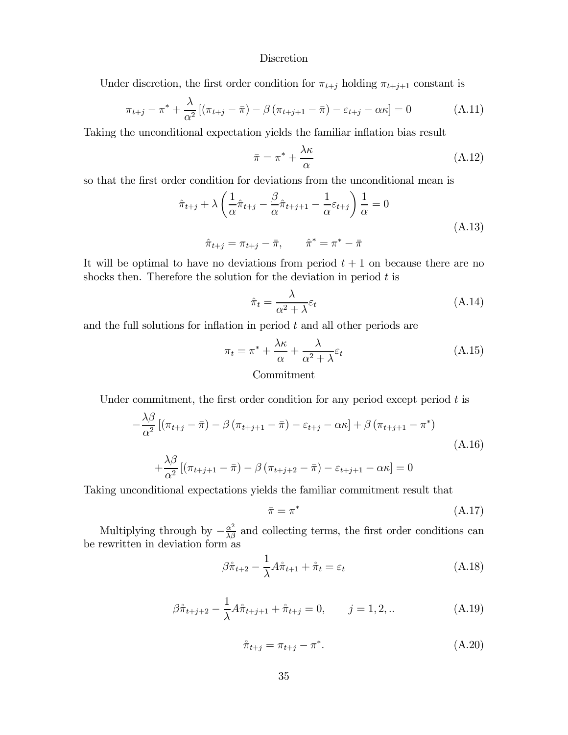#### **Discretion**

Under discretion, the first order condition for  $\pi_{t+j}$  holding  $\pi_{t+j+1}$  constant is

$$
\pi_{t+j} - \pi^* + \frac{\lambda}{\alpha^2} \left[ (\pi_{t+j} - \bar{\pi}) - \beta (\pi_{t+j+1} - \bar{\pi}) - \varepsilon_{t+j} - \alpha \kappa \right] = 0 \tag{A.11}
$$

Taking the unconditional expectation yields the familiar inflation bias result

$$
\bar{\pi} = \pi^* + \frac{\lambda \kappa}{\alpha} \tag{A.12}
$$

so that the first order condition for deviations from the unconditional mean is

$$
\hat{\pi}_{t+j} + \lambda \left( \frac{1}{\alpha} \hat{\pi}_{t+j} - \frac{\beta}{\alpha} \hat{\pi}_{t+j+1} - \frac{1}{\alpha} \varepsilon_{t+j} \right) \frac{1}{\alpha} = 0
$$
\n
$$
\hat{\pi}_{t+j} = \pi_{t+j} - \bar{\pi}, \qquad \hat{\pi}^* = \pi^* - \bar{\pi}
$$
\n(A.13)

It will be optimal to have no deviations from period  $t + 1$  on because there are no shocks then. Therefore the solution for the deviation in period  $t$  is

$$
\hat{\pi}_t = \frac{\lambda}{\alpha^2 + \lambda} \varepsilon_t \tag{A.14}
$$

and the full solutions for inflation in period  $t$  and all other periods are

$$
\pi_t = \pi^* + \frac{\lambda \kappa}{\alpha} + \frac{\lambda}{\alpha^2 + \lambda} \varepsilon_t
$$
\nCommitment

\n
$$
(A.15)
$$

Under commitment, the first order condition for any period except period  $t$  is

$$
-\frac{\lambda\beta}{\alpha^2} \left[ \left(\pi_{t+j} - \bar{\pi}\right) - \beta \left(\pi_{t+j+1} - \bar{\pi}\right) - \varepsilon_{t+j} - \alpha\kappa \right] + \beta \left(\pi_{t+j+1} - \pi^*\right)
$$
\n
$$
+\frac{\lambda\beta}{\alpha^2} \left[ \left(\pi_{t+j+1} - \bar{\pi}\right) - \beta \left(\pi_{t+j+2} - \bar{\pi}\right) - \varepsilon_{t+j+1} - \alpha\kappa \right] = 0
$$
\n(A.16)

Taking unconditional expectations yields the familiar commitment result that

$$
\bar{\pi} = \pi^* \tag{A.17}
$$

Multiplying through by  $-\frac{\alpha^2}{\lambda \beta}$  and collecting terms, the first order conditions can be rewritten in deviation form as

$$
\beta \hat{\pi}_{t+2} - \frac{1}{\lambda} A \hat{\pi}_{t+1} + \hat{\pi}_t = \varepsilon_t \tag{A.18}
$$

$$
\beta \hat{\pi}_{t+j+2} - \frac{1}{\lambda} A \hat{\pi}_{t+j+1} + \hat{\pi}_{t+j} = 0, \qquad j = 1, 2, ... \tag{A.19}
$$

$$
\hat{\pi}_{t+j} = \pi_{t+j} - \pi^*.
$$
\n(A.20)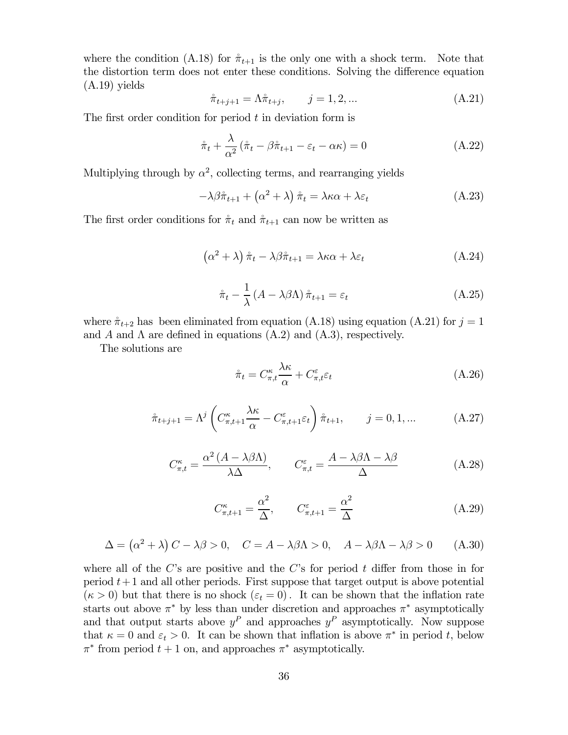where the condition (A.18) for  $\pi_{t+1}$  is the only one with a shock term. Note that the distortion term does not enter these conditions. Solving the difference equation (A.19) yields

$$
\hat{\pi}_{t+j+1} = \Lambda \hat{\pi}_{t+j}, \qquad j = 1, 2, \dots \tag{A.21}
$$

The first order condition for period  $t$  in deviation form is

$$
\dot{\pi}_t + \frac{\lambda}{\alpha^2} (\dot{\pi}_t - \beta \dot{\pi}_{t+1} - \varepsilon_t - \alpha \kappa) = 0
$$
\n(A.22)

Multiplying through by  $\alpha^2$ , collecting terms, and rearranging yields

$$
-\lambda\beta\hat{\pi}_{t+1} + (\alpha^2 + \lambda)\hat{\pi}_t = \lambda\kappa\alpha + \lambda\varepsilon_t
$$
 (A.23)

The first order conditions for  $\pi_t$  and  $\pi_{t+1}$  can now be written as

$$
\left(\alpha^2 + \lambda\right)\hat{\pi}_t - \lambda\beta\hat{\pi}_{t+1} = \lambda\kappa\alpha + \lambda\varepsilon_t \tag{A.24}
$$

$$
\hat{\pi}_t - \frac{1}{\lambda} \left( A - \lambda \beta \Lambda \right) \hat{\pi}_{t+1} = \varepsilon_t \tag{A.25}
$$

where  $\hat{\pi}_{t+2}$  has been eliminated from equation (A.18) using equation (A.21) for  $j = 1$ and A and  $\Lambda$  are defined in equations (A.2) and (A.3), respectively.

The solutions are

$$
\hat{\pi}_t = C^{\kappa}_{\pi,t} \frac{\lambda \kappa}{\alpha} + C^{\varepsilon}_{\pi,t} \varepsilon_t \tag{A.26}
$$

$$
\mathring{\pi}_{t+j+1} = \Lambda^j \left( C_{\pi,t+1}^\kappa \frac{\lambda \kappa}{\alpha} - C_{\pi,t+1}^\varepsilon \varepsilon_t \right) \mathring{\pi}_{t+1}, \qquad j = 0, 1, \dots \tag{A.27}
$$

$$
C_{\pi,t}^{\kappa} = \frac{\alpha^2 (A - \lambda \beta \Lambda)}{\lambda \Delta}, \qquad C_{\pi,t}^{\varepsilon} = \frac{A - \lambda \beta \Lambda - \lambda \beta}{\Delta}
$$
 (A.28)

$$
C_{\pi,t+1}^{\kappa} = \frac{\alpha^2}{\Delta}, \qquad C_{\pi,t+1}^{\varepsilon} = \frac{\alpha^2}{\Delta}
$$
 (A.29)

$$
\Delta = (\alpha^2 + \lambda) C - \lambda \beta > 0, \quad C = A - \lambda \beta \Lambda > 0, \quad A - \lambda \beta \Lambda - \lambda \beta > 0 \quad (A.30)
$$

where all of the C's are positive and the C's for period  $t$  differ from those in for period  $t+1$  and all other periods. First suppose that target output is above potential  $(\kappa > 0)$  but that there is no shock  $(\varepsilon_t = 0)$ . It can be shown that the inflation rate starts out above  $\pi^*$  by less than under discretion and approaches  $\pi^*$  asymptotically and that output starts above  $y^P$  and approaches  $y^P$  asymptotically. Now suppose that  $\kappa = 0$  and  $\varepsilon_t > 0$ . It can be shown that inflation is above  $\pi^*$  in period t, below  $\pi^*$  from period  $t + 1$  on, and approaches  $\pi^*$  asymptotically.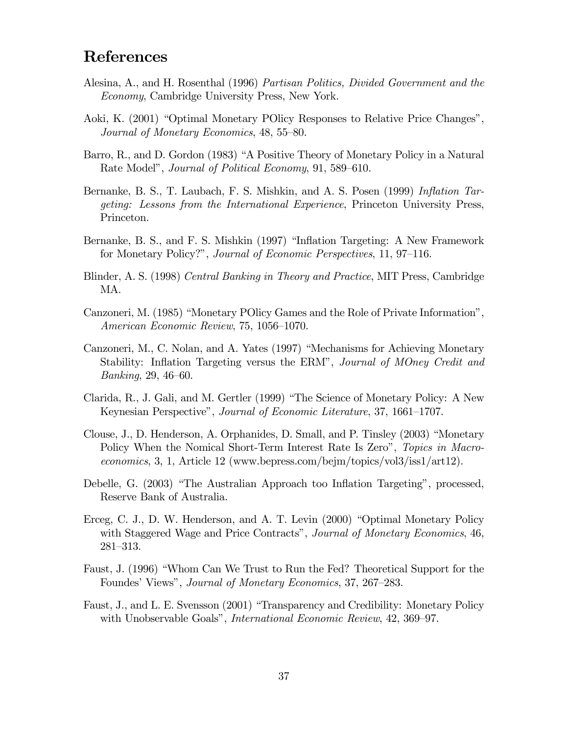# References

- Alesina, A., and H. Rosenthal (1996) Partisan Politics, Divided Government and the Economy, Cambridge University Press, New York.
- Aoki, K. (2001) "Optimal Monetary POlicy Responses to Relative Price Changes", Journal of Monetary Economics, 48, 55—80.
- Barro, R., and D. Gordon (1983) "A Positive Theory of Monetary Policy in a Natural Rate Model", Journal of Political Economy, 91, 589—610.
- Bernanke, B. S., T. Laubach, F. S. Mishkin, and A. S. Posen (1999) *Inflation Tar*geting: Lessons from the International Experience, Princeton University Press, Princeton.
- Bernanke, B. S., and F. S. Mishkin (1997) "Inflation Targeting: A New Framework for Monetary Policy?", Journal of Economic Perspectives, 11, 97—116.
- Blinder, A. S. (1998) Central Banking in Theory and Practice, MIT Press, Cambridge MA.
- Canzoneri, M. (1985) "Monetary POlicy Games and the Role of Private Information", American Economic Review, 75, 1056—1070.
- Canzoneri, M., C. Nolan, and A. Yates (1997) "Mechanisms for Achieving Monetary Stability: Inflation Targeting versus the ERM", Journal of MOney Credit and Banking, 29, 46—60.
- Clarida, R., J. Gali, and M. Gertler (1999) "The Science of Monetary Policy: A New Keynesian Perspective", Journal of Economic Literature, 37, 1661—1707.
- Clouse, J., D. Henderson, A. Orphanides, D. Small, and P. Tinsley (2003) "Monetary Policy When the Nomical Short-Term Interest Rate Is Zero", Topics in Macroeconomics, 3, 1, Article 12 (www.bepress.com/bejm/topics/vol3/iss1/art12).
- Debelle, G. (2003) "The Australian Approach too Inflation Targeting", processed, Reserve Bank of Australia.
- Erceg, C. J., D. W. Henderson, and A. T. Levin (2000) "Optimal Monetary Policy with Staggered Wage and Price Contracts", Journal of Monetary Economics, 46, 281—313.
- Faust, J. (1996) "Whom Can We Trust to Run the Fed? Theoretical Support for the Foundes' Views", Journal of Monetary Economics, 37, 267—283.
- Faust, J., and L. E. Svensson (2001) "Transparency and Credibility: Monetary Policy with Unobservable Goals", *International Economic Review*, 42, 369–97.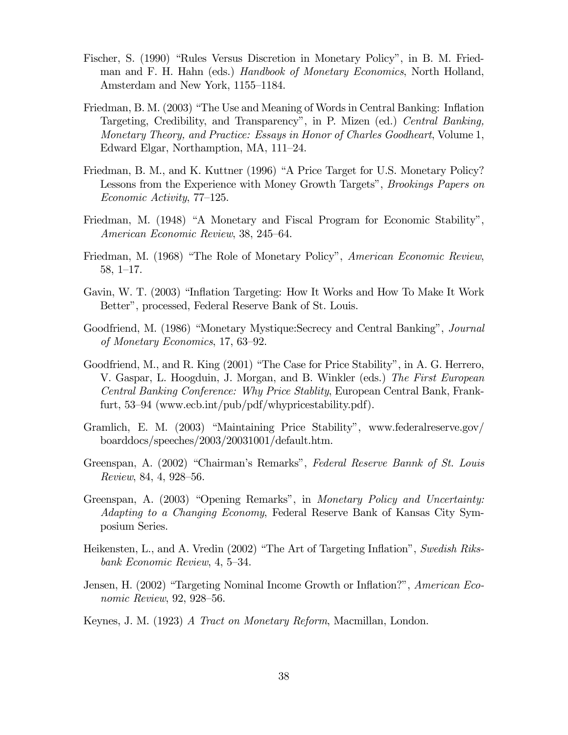- Fischer, S. (1990) "Rules Versus Discretion in Monetary Policy", in B. M. Friedman and F. H. Hahn (eds.) Handbook of Monetary Economics, North Holland, Amsterdam and New York, 1155—1184.
- Friedman, B. M. (2003) "The Use and Meaning of Words in Central Banking: Inflation Targeting, Credibility, and Transparency", in P. Mizen (ed.) Central Banking, Monetary Theory, and Practice: Essays in Honor of Charles Goodheart, Volume 1, Edward Elgar, Northamption, MA, 111—24.
- Friedman, B. M., and K. Kuttner (1996) "A Price Target for U.S. Monetary Policy? Lessons from the Experience with Money Growth Targets", Brookings Papers on Economic Activity, 77—125.
- Friedman, M. (1948) "A Monetary and Fiscal Program for Economic Stability", American Economic Review, 38, 245—64.
- Friedman, M. (1968) "The Role of Monetary Policy", American Economic Review, 58, 1—17.
- Gavin, W. T. (2003) "Inflation Targeting: How It Works and How To Make It Work Better", processed, Federal Reserve Bank of St. Louis.
- Goodfriend, M. (1986) "Monetary Mystique:Secrecy and Central Banking", Journal of Monetary Economics, 17, 63—92.
- Goodfriend, M., and R. King (2001) "The Case for Price Stability", in A. G. Herrero, V. Gaspar, L. Hoogduin, J. Morgan, and B. Winkler (eds.) The First European Central Banking Conference: Why Price Stablity, European Central Bank, Frankfurt, 53—94 (www.ecb.int/pub/pdf/whypricestability.pdf).
- Gramlich, E. M. (2003) "Maintaining Price Stability", www.federalreserve.gov/ boarddocs/speeches/2003/20031001/default.htm.
- Greenspan, A. (2002) "Chairman's Remarks", Federal Reserve Bannk of St. Louis Review, 84, 4, 928—56.
- Greenspan, A. (2003) "Opening Remarks", in Monetary Policy and Uncertainty: Adapting to a Changing Economy, Federal Reserve Bank of Kansas City Symposium Series.
- Heikensten, L., and A. Vredin (2002) "The Art of Targeting Inflation", Swedish Riksbank Economic Review, 4, 5—34.
- Jensen, H. (2002) "Targeting Nominal Income Growth or Inflation?", American Economic Review, 92, 928—56.
- Keynes, J. M. (1923) A Tract on Monetary Reform, Macmillan, London.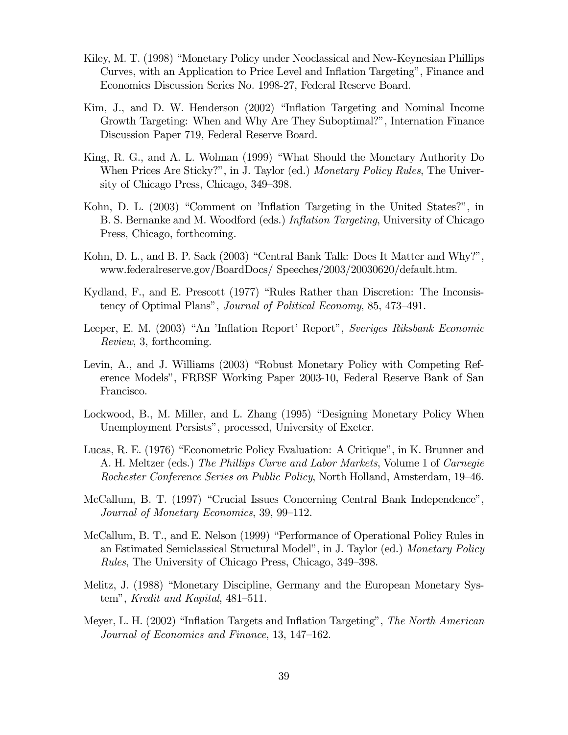- Kiley, M. T. (1998) "Monetary Policy under Neoclassical and New-Keynesian Phillips Curves, with an Application to Price Level and Inflation Targeting", Finance and Economics Discussion Series No. 1998-27, Federal Reserve Board.
- Kim, J., and D. W. Henderson (2002) "Inflation Targeting and Nominal Income Growth Targeting: When and Why Are They Suboptimal?", Internation Finance Discussion Paper 719, Federal Reserve Board.
- King, R. G., and A. L. Wolman (1999) "What Should the Monetary Authority Do When Prices Are Sticky?", in J. Taylor (ed.) Monetary Policy Rules, The University of Chicago Press, Chicago, 349—398.
- Kohn, D. L. (2003) "Comment on 'Inflation Targeting in the United States?", in B. S. Bernanke and M. Woodford (eds.) Inflation Targeting, University of Chicago Press, Chicago, forthcoming.
- Kohn, D. L., and B. P. Sack (2003) "Central Bank Talk: Does It Matter and Why?", www.federalreserve.gov/BoardDocs/ Speeches/2003/20030620/default.htm.
- Kydland, F., and E. Prescott (1977) "Rules Rather than Discretion: The Inconsistency of Optimal Plans", Journal of Political Economy, 85, 473—491.
- Leeper, E. M. (2003) "An 'Inflation Report' Report", Sveriges Riksbank Economic Review, 3, forthcoming.
- Levin, A., and J. Williams (2003) "Robust Monetary Policy with Competing Reference Models", FRBSF Working Paper 2003-10, Federal Reserve Bank of San Francisco.
- Lockwood, B., M. Miller, and L. Zhang (1995) "Designing Monetary Policy When Unemployment Persists", processed, University of Exeter.
- Lucas, R. E. (1976) "Econometric Policy Evaluation: A Critique", in K. Brunner and A. H. Meltzer (eds.) The Phillips Curve and Labor Markets, Volume 1 of Carnegie Rochester Conference Series on Public Policy, North Holland, Amsterdam, 19—46.
- McCallum, B. T. (1997) "Crucial Issues Concerning Central Bank Independence", Journal of Monetary Economics, 39, 99—112.
- McCallum, B. T., and E. Nelson (1999) "Performance of Operational Policy Rules in an Estimated Semiclassical Structural Model", in J. Taylor (ed.) Monetary Policy Rules, The University of Chicago Press, Chicago, 349—398.
- Melitz, J. (1988) "Monetary Discipline, Germany and the European Monetary System", Kredit and Kapital, 481—511.
- Meyer, L. H. (2002) "Inflation Targets and Inflation Targeting", The North American Journal of Economics and Finance, 13, 147—162.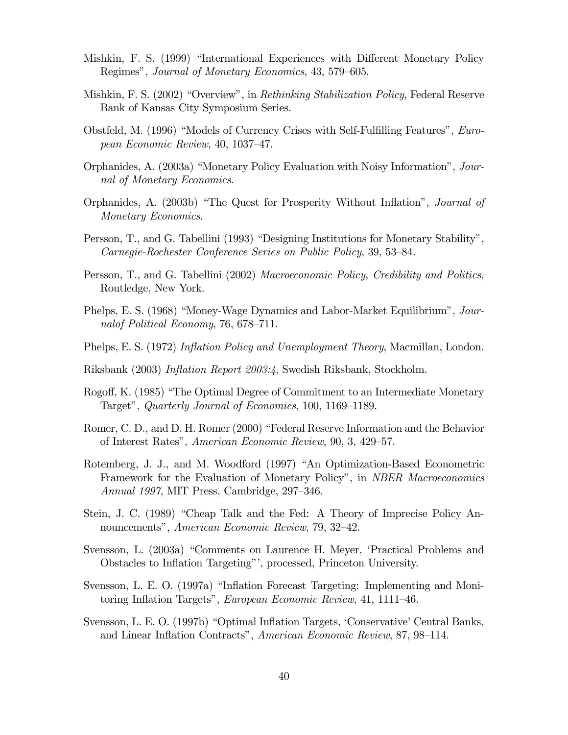- Mishkin, F. S. (1999) "International Experiences with Different Monetary Policy Regimes", Journal of Monetary Economics, 43, 579—605.
- Mishkin, F. S. (2002) "Overview", in Rethinking Stabilization Policy, Federal Reserve Bank of Kansas City Symposium Series.
- Obstfeld, M. (1996) "Models of Currency Crises with Self-Fulfilling Features", European Economic Review, 40, 1037—47.
- Orphanides, A. (2003a) "Monetary Policy Evaluation with Noisy Information", Journal of Monetary Economics.
- Orphanides, A. (2003b) "The Quest for Prosperity Without Inflation", Journal of Monetary Economics.
- Persson, T., and G. Tabellini (1993) "Designing Institutions for Monetary Stability", Carnegie-Rochester Conference Series on Public Policy, 39, 53—84.
- Persson, T., and G. Tabellini (2002) Macroeconomic Policy, Credibility and Politics, Routledge, New York.
- Phelps, E. S. (1968) "Money-Wage Dynamics and Labor-Market Equilibrium", Journalof Political Economy, 76, 678—711.
- Phelps, E. S. (1972) Inflation Policy and Unemployment Theory, Macmillan, London.
- Riksbank (2003) Inflation Report 2003:4, Swedish Riksbank, Stockholm.
- Rogoff, K. (1985) "The Optimal Degree of Commitment to an Intermediate Monetary Target", Quarterly Journal of Economics, 100, 1169—1189.
- Romer, C. D., and D. H. Romer (2000) "Federal Reserve Information and the Behavior of Interest Rates", American Economic Review, 90, 3, 429—57.
- Rotemberg, J. J., and M. Woodford (1997) "An Optimization-Based Econometric Framework for the Evaluation of Monetary Policy", in *NBER Macroeconomics* Annual 1997, MIT Press, Cambridge, 297—346.
- Stein, J. C. (1989) "Cheap Talk and the Fed: A Theory of Imprecise Policy Announcements", American Economic Review, 79, 32—42.
- Svensson, L. (2003a) "Comments on Laurence H. Meyer, 'Practical Problems and Obstacles to Inflation Targeting"', processed, Princeton University.
- Svensson, L. E. O. (1997a) "Inflation Forecast Targeting: Implementing and Monitoring Inflation Targets", European Economic Review, 41, 1111—46.
- Svensson, L. E. O. (1997b) "Optimal Inflation Targets, 'Conservative' Central Banks, and Linear Inflation Contracts", American Economic Review, 87, 98—114.